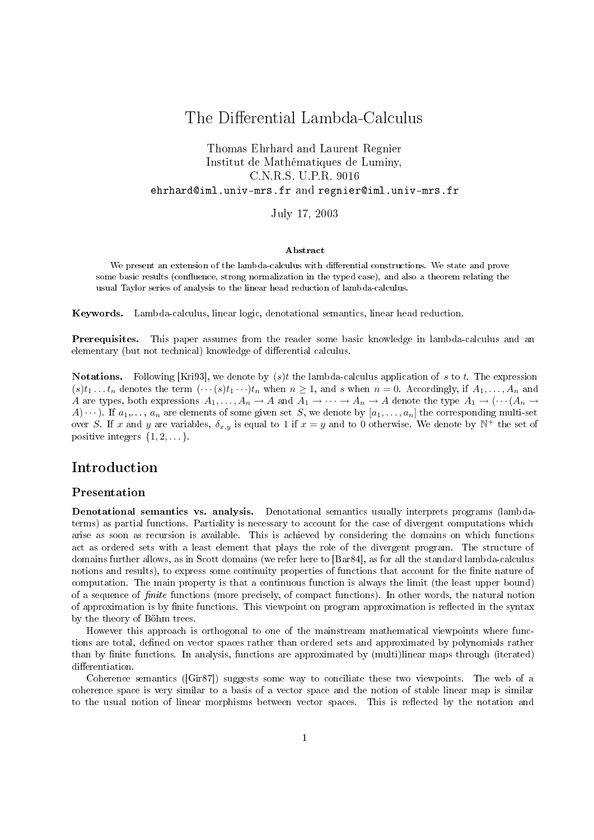# The Differential Lambda-Calculus

### Thomas Ehrhard and Laurent Regnier Institut de Mathématiques de Luminy, C.N.R.S. U.P.R. 9016 ehrhard@iml.univ-mrs.fr and regnier@iml.univ-mrs.fr

July 17, 2003

#### Abstract

We present an extension of the lambda-calculus with differential constructions. We state and prove some basic results (confluence, strong normalization in the typed case), and also a theorem relating the usual Taylor series of analysis to the linear head reduction of lambda-calculus.

Keywords. Lambda-calculus, linear logic, denotational semantics, linear head reduction.

Prerequisites. This paper assumes from the reader some basic knowledge in lambda-calculus and an elementary (but not technical) knowledge of differential calculus.

**Notations.** Following [Kri93], we denote by  $(s)t$  the lambda-calculus application of s to t. The expression  $(s)t_1 \ldots t_n$  denotes the term  $(\cdots(s)t_1 \cdots)t_n$  when  $n \ge 1$ , and s when  $n = 0$ . Accordingly, if  $A_1, \ldots, A_n$  and A are types, both expressions  $A_1, \ldots, A_n \to A$  and  $A_1 \to \cdots \to A_n \to A$  denote the type  $A_1 \to (\cdots (A_n \to A_n))$  $A) \cdots$ ). If  $a_1, \ldots, a_n$  are elements of some given set S, we denote by  $[a_1, \ldots, a_n]$  the corresponding multi-set over S. If x and y are variables,  $\delta_{x,y}$  is equal to 1 if  $x=y$  and to 0 otherwise. We denote by  $\mathbb{N}^+$  the set of positive integers  $\{1, 2, \ldots\}$ .

## Introduction

#### Presentation

Denotational semantics vs. analysis. Denotational semantics usually interprets programs (lambdaterms) as partial functions. Partiality is necessary to account for the case of divergent computations which arise as soon as recursion is available. This is achieved by considering the domains on which functions act as ordered sets with a least element that plays the role of the divergent program. The structure of domains further allows, as in Scott domains (we refer here to [Bar84], as for all the standard lambda-calculus notions and results), to express some continuity properties of functions that account for the finite nature of computation. The main property is that a continuous function is always the limit (the least upper bound) of a sequence of *finite* functions (more precisely, of compact functions). In other words, the natural notion of approximation is by finite functions. This viewpoint on program approximation is reflected in the syntax by the theory of Böhm trees.

However this approach is orthogonal to one of the mainstream mathematical viewpoints where functions are total, defined on vector spaces rather than ordered sets and approximated by polynomials rather than by finite functions. In analysis, functions are approximated by (multi)linear maps through (iterated) differentiation.

Coherence semantics ([Gir87]) suggests some way to conciliate these two viewpoints. The web of a coherence space is very similar to a basis of a vector space and the notion of stable linear map is similar to the usual notion of linear morphisms between vector spaces. This is reflected by the notation and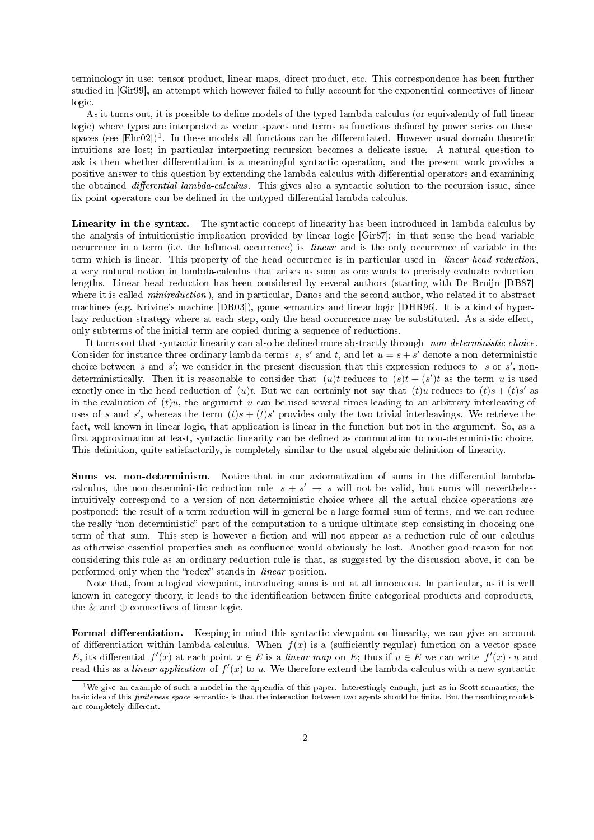terminology in use: tensor product, linear maps, direct product, etc. This correspondence has been further studied in [Gir99], an attempt which however failed to fully account for the exponential connectives of linear logic.

As it turns out, it is possible to define models of the typed lambda-calculus (or equivalently of full linear logic) where types are interpreted as vector spaces and terms as functions defined by power series on these spaces (see [Ehr02])<sup>1</sup>. In these models all functions can be differentiated. However usual domain-theoretic intuitions are lost; in particular interpreting recursion becomes a delicate issue. A natural question to ask is then whether differentiation is a meaningful syntactic operation, and the present work provides a positive answer to this question by extending the lambda-calculus with differential operators and examining the obtained *differential lambda-calculus*. This gives also a syntactic solution to the recursion issue, since fix-point operators can be defined in the untyped differential lambda-calculus.

Linearity in the syntax. The syntactic concept of linearity has been introduced in lambda-calculus by the analysis of intuitionistic implication provided by linear logic [Gir87]: in that sense the head variable occurrence in a term (i.e. the leftmost occurrence) is linear and is the only occurrence of variable in the term which is linear. This property of the head occurrence is in particular used in linear head reduction, a very natural notion in lambda-calculus that arises as soon as one wants to precisely evaluate reduction lengths. Linear head reduction has been considered by several authors (starting with De Bruijn [DB87] where it is called *minireduction*), and in particular, Danos and the second author, who related it to abstract machines (e.g. Krivine's machine [DR03]), game semantics and linear logic [DHR96]. It is a kind of hyperlazy reduction strategy where at each step, only the head occurrence may be substituted. As a side effect, only subterms of the initial term are copied during a sequence of reductions.

It turns out that syntactic linearity can also be defined more abstractly through non-deterministic choice. Consider for instance three ordinary lambda-terms s, s' and t, and let  $u = s + s'$  denote a non-deterministic choice between s and s'; we consider in the present discussion that this expression reduces to s or s', nondeterministically. Then it is reasonable to consider that  $(u)t$  reduces to  $(s)t + (s')t$  as the term u is used exactly once in the head reduction of  $(u)t$ . But we can certainly not say that  $(t)u$  reduces to  $(t)s + (t)s'$  as in the evaluation of  $(t)u$ , the argument u can be used several times leading to an arbitrary interleaving of uses of s and s', whereas the term  $(t)s + (t)s'$  provides only the two trivial interleavings. We retrieve the fact, well known in linear logic, that application is linear in the function but not in the argument. So, as a first approximation at least, syntactic linearity can be defined as commutation to non-deterministic choice. This definition, quite satisfactorily, is completely similar to the usual algebraic definition of linearity.

Sums vs. non-determinism. Notice that in our axiomatization of sums in the differential lambdacalculus, the non-deterministic reduction rule  $s + s' \rightarrow s$  will not be valid, but sums will nevertheless intuitively correspond to a version of non-deterministic choice where all the actual choice operations are postponed: the result of a term reduction will in general be a large formal sum of terms, and we can reduce the really "non-deterministic" part of the computation to a unique ultimate step consisting in choosing one term of that sum. This step is however a fiction and will not appear as a reduction rule of our calculus as otherwise essential properties such as confluence would obviously be lost. Another good reason for not considering this rule as an ordinary reduction rule is that, as suggested by the discussion above, it can be performed only when the "redex" stands in *linear* position.

Note that, from a logical viewpoint, introducing sums is not at all innocuous. In particular, as it is well known in category theory, it leads to the identification between finite categorical products and coproducts, the  $\&$  and  $\oplus$  connectives of linear logic.

Formal differentiation. Keeping in mind this syntactic viewpoint on linearity, we can give an account of differentiation within lambda-calculus. When  $f(x)$  is a (sufficiently regular) function on a vector space E, its differential  $f'(x)$  at each point  $x \in E$  is a linear map on E; thus if  $u \in E$  we can write  $f'(x) \cdot u$  and read this as a *linear application* of  $f'(x)$  to u. We therefore extend the lambda-calculus with a new syntactic

<sup>&</sup>lt;sup>1</sup>We give an example of such a model in the appendix of this paper. Interestingly enough, just as in Scott semantics, the basic idea of this *finiteness space* semantics is that the interaction between two agents should be finite. But the resulting models are completely different.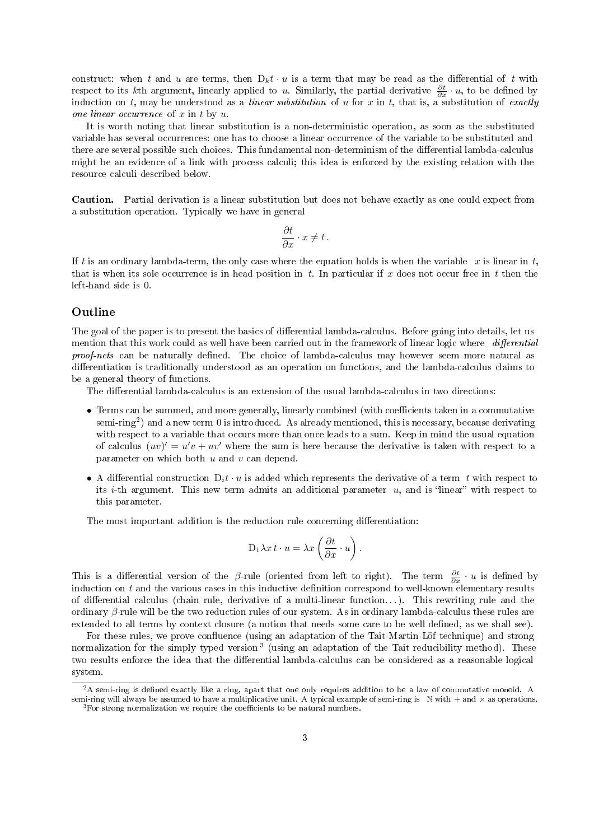construct: when t and u are terms, then  $D_k t \cdot u$  is a term that may be read as the differential of t with respect to its kth argument, linearly applied to u. Similarly, the partial derivative  $\frac{\partial t}{\partial x} \cdot u$ , to be defined by induction on t, may be understood as a *linear substitution* of u for x in t, that is, a substitution of exactly one linear occurrence of  $x$  in  $t$  by  $u$ .

It is worth noting that linear substitution is a non-deterministic operation, as soon as the substituted variable has several occurrences: one has to choose a linear occurrence of the variable to be substituted and there are several possible such choices. This fundamental non-determinism of the differential lambda-calculus might be an evidence of a link with process calculi; this idea is enforced by the existing relation with the resource calculi described below.

Caution. Partial derivation is a linear substitution but does not behave exactly as one could expect from a substitution operation. Typically we have in general

$$
\frac{\partial t}{\partial x} \cdot x \neq t \, .
$$

If t is an ordinary lambda-term, the only case where the equation holds is when the variable  $x$  is linear in  $t$ , that is when its sole occurrence is in head position in t. In particular if x does not occur free in t then the left-hand side is 0.

#### Outline

The goal of the paper is to present the basics of differential lambda-calculus. Before going into details, let us mention that this work could as well have been carried out in the framework of linear logic where differential proof-nets can be naturally defined. The choice of lambda-calculus may however seem more natural as differentiation is traditionally understood as an operation on functions, and the lambda-calculus claims to be a general theory of functions.

The differential lambda-calculus is an extension of the usual lambda-calculus in two directions:

- Terms can be summed, and more generally, linearly combined (with coefficients taken in a commutative semi-ring<sup>2</sup>) and a new term 0 is introduced. As already mentioned, this is necessary, because derivating with respect to a variable that occurs more than once leads to a sum. Keep in mind the usual equation of calculus  $(uv)' = u'v + uv'$  where the sum is here because the derivative is taken with respect to a parameter on which both u and v can depend.
- A differential construction  $D_i t \cdot u$  is added which represents the derivative of a term t with respect to its *i*-th argument. This new term admits an additional parameter  $u$ , and is "linear" with respect to this parameter.

The most important addition is the reduction rule concerning differentiation:

$$
D_1 \lambda x t \cdot u = \lambda x \left(\frac{\partial t}{\partial x} \cdot u\right).
$$

This is a differential version of the β-rule (oriented from left to right). The term  $\frac{\partial t}{\partial x} \cdot u$  is defined by induction on  $t$  and the various cases in this inductive definition correspond to well-known elementary results of differential calculus (chain rule, derivative of a multi-linear function...). This rewriting rule and the ordinary β-rule will be the two reduction rules of our system. As in ordinary lambda-calculus these rules are extended to all terms by context closure (a notion that needs some care to be well defined, as we shall see).

For these rules, we prove confluence (using an adaptation of the Tait-Martin-Löf technique) and strong normalization for the simply typed version<sup>3</sup> (using an adaptation of the Tait reducibility method). These two results enforce the idea that the differential lambda-calculus can be considered as a reasonable logical system.

 $2\,$ A semi-ring is defined exactly like a ring, apart that one only requires addition to be a law of commutative monoid. A semi-ring will always be assumed to have a multiplicative unit. A typical example of semi-ring is  $\mathbb N$  with  $+$  and  $\times$  as operations.

 $3$ For strong normalization we require the coefficients to be natural numbers.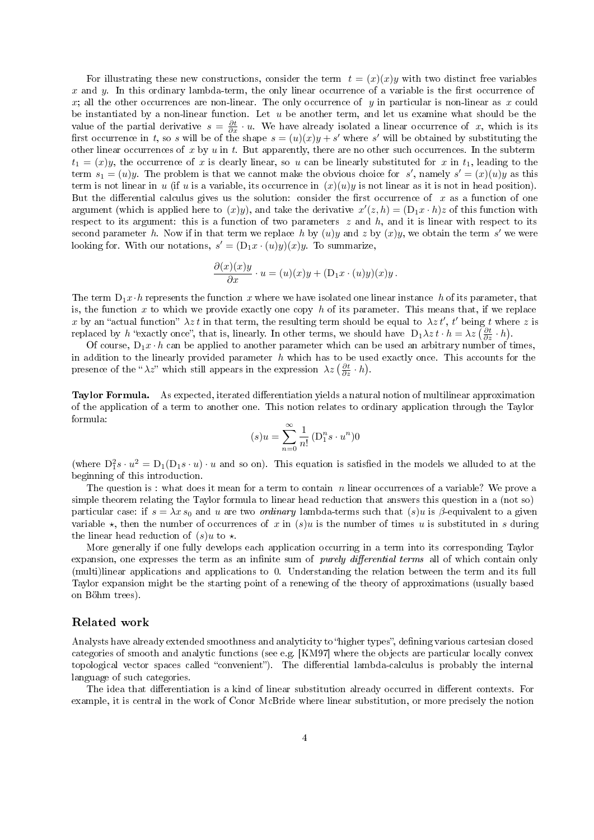For illustrating these new constructions, consider the term  $t = (x)(x)y$  with two distinct free variables x and y. In this ordinary lambda-term, the only linear occurrence of a variable is the first occurrence of x; all the other occurrences are non-linear. The only occurrence of y in particular is non-linear as x could be instantiated by a non-linear function. Let  $u$  be another term, and let us examine what should be the value of the partial derivative  $s = \frac{\partial t}{\partial x} \cdot u$ . We have already isolated a linear occurrence of x, which is its first occurrence in t, so s will be of the shape  $s = (u)(x)y + s'$  where s' will be obtained by substituting the other linear occurrences of x by  $u$  in  $t$ . But apparently, there are no other such occurrences. In the subterm  $t_1 = (x)y$ , the occurrence of x is clearly linear, so u can be linearly substituted for x in  $t_1$ , leading to the term  $s_1 = (u)y$ . The problem is that we cannot make the obvious choice for s', namely  $s' = (x)(u)y$  as this term is not linear in u (if u is a variable, its occurrence in  $(x)(u)y$  is not linear as it is not in head position). But the differential calculus gives us the solution: consider the first occurrence of x as a function of one argument (which is applied here to  $(x)y$ ), and take the derivative  $x'(z, h) = (\mathcal{D}_1 x \cdot h)z$  of this function with respect to its argument: this is a function of two parameters  $z$  and  $h$ , and it is linear with respect to its second parameter h. Now if in that term we replace h by  $(u)y$  and z by  $(x)y$ , we obtain the term s' we were looking for. With our notations,  $s' = (D_1x \cdot (u)y)(x)y$ . To summarize,

$$
\frac{\partial(x)(x)y}{\partial x} \cdot u = (u)(x)y + (D_1x \cdot (u)y)(x)y.
$$

The term  $D_1x\cdot h$  represents the function x where we have isolated one linear instance h of its parameter, that is, the function x to which we provide exactly one copy h of its parameter. This means that, if we replace x by an "actual function"  $\lambda z t$  in that term, the resulting term should be equal to  $\lambda z t'$ , t' being t where z is replaced by h "exactly once", that is, linearly. In other terms, we should have  $D_1\lambda z t \cdot h = \lambda z \left(\frac{\partial t}{\partial z} \cdot h\right)$ .

Of course,  $D_1x \cdot h$  can be applied to another parameter which can be used an arbitrary number of times, in addition to the linearly provided parameter  $h$  which has to be used exactly once. This accounts for the presence of the " $\lambda z$ " which still appears in the expression  $\lambda z \left( \frac{\partial t}{\partial z} \cdot h \right)$ .

Taylor Formula. As expected, iterated differentiation yields a natural notion of multilinear approximation of the application of a term to another one. This notion relates to ordinary application through the Taylor formula:

$$
(s)u = \sum_{n=0}^{\infty} \frac{1}{n!} \left( \mathbf{D}_1^n s \cdot u^n \right) 0
$$

(where  $D_1^2 s \cdot u^2 = D_1(D_1 s \cdot u) \cdot u$  and so on). This equation is satisfied in the models we alluded to at the beginning of this introduction.

The question is : what does it mean for a term to contain n linear occurrences of a variable? We prove a simple theorem relating the Taylor formula to linear head reduction that answers this question in a (not so) particular case: if  $s = \lambda x s_0$  and u are two *ordinary* lambda-terms such that  $(s)u$  is  $\beta$ -equivalent to a given variable  $\star$ , then the number of occurrences of x in  $(s)u$  is the number of times u is substituted in s during the linear head reduction of  $(s)u$  to  $\star$ .

More generally if one fully develops each application occurring in a term into its corresponding Taylor expansion, one expresses the term as an infinite sum of *purely differential terms* all of which contain only (multi)linear applications and applications to 0. Understanding the relation between the term and its full Taylor expansion might be the starting point of a renewing of the theory of approximations (usually based on Böhm trees).

#### Related work

Analysts have already extended smoothness and analyticity to "higher types", defining various cartesian closed categories of smooth and analytic functions (see e.g. [KM97] where the objects are particular locally convex topological vector spaces called "convenient"). The differential lambda-calculus is probably the internal language of such categories.

The idea that differentiation is a kind of linear substitution already occurred in different contexts. For example, it is central in the work of Conor McBride where linear substitution, or more precisely the notion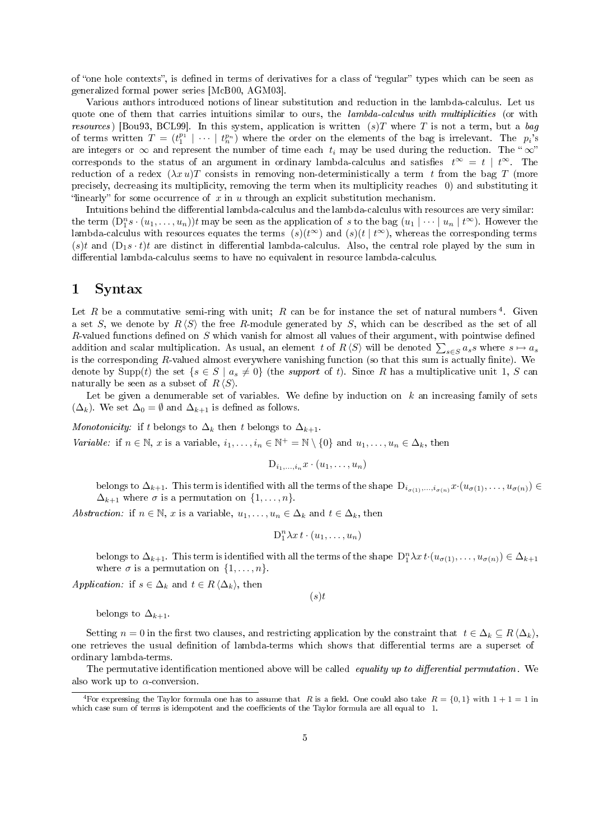of "one hole contexts", is defined in terms of derivatives for a class of "regular" types which can be seen as generalized formal power series [McB00, AGM03].

Various authors introduced notions of linear substitution and reduction in the lambda-calculus. Let us quote one of them that carries intuitions similar to ours, the *lambda-calculus with multiplicities* (or with resources) [Bou93, BCL99]. In this system, application is written  $(s)T$  where T is not a term, but a bag of terms written  $T = (t_1^{p_1} | \cdots | t_n^{p_n})$  where the order on the elements of the bag is irrelevant. The  $p_i$ 's are integers or  $\infty$  and represent the number of time each  $t_i$  may be used during the reduction. The " $\infty$ " corresponds to the status of an argument in ordinary lambda-calculus and satisfies  $t^{\infty} = t | t^{\infty}$ . The reduction of a redex  $(\lambda x u)T$  consists in removing non-deterministically a term t from the bag T (more precisely, decreasing its multiplicity, removing the term when its multiplicity reaches 0) and substituting it "linearly" for some occurrence of x in u through an explicit substitution mechanism.

Intuitions behind the differential lambda-calculus and the lambda-calculus with resources are very similar: the term  $(D_1^n s \cdot (u_1, \ldots, u_n))t$  may be seen as the application of s to the bag  $(u_1 \mid \cdots \mid u_n \mid t^{\infty})$ . However the lambda-calculus with resources equates the terms  $(s)(t^{\infty})$  and  $(s)(t | t^{\infty})$ , whereas the corresponding terms (s)t and  $(D_1s \cdot t)t$  are distinct in differential lambda-calculus. Also, the central role played by the sum in differential lambda-calculus seems to have no equivalent in resource lambda-calculus.

#### 1 Syntax

Let R be a commutative semi-ring with unit; R can be for instance the set of natural numbers<sup>4</sup>. Given a set S, we denote by  $R\langle S\rangle$  the free R-module generated by S, which can be described as the set of all R-valued functions defined on  $S$  which vanish for almost all values of their argument, with pointwise defined addition and scalar multiplication. As usual, an element t of  $R \langle S \rangle$  will be denoted  $\sum_{s \in S} a_s s$  where  $s \mapsto a_s$ is the corresponding  $R$ -valued almost everywhere vanishing function (so that this sum is actually finite). We denote by Supp(t) the set  $\{s \in S \mid a_s \neq 0\}$  (the support of t). Since R has a multiplicative unit 1, S can naturally be seen as a subset of  $R \langle S \rangle$ .

Let be given a denumerable set of variables. We define by induction on  $k$  an increasing family of sets  $(\Delta_k)$ . We set  $\Delta_0 = \emptyset$  and  $\Delta_{k+1}$  is defined as follows.

Monotonicity: if t belongs to  $\Delta_k$  then t belongs to  $\Delta_{k+1}$ . Variable: if  $n \in \mathbb{N}$ , x is a variable,  $i_1, \ldots, i_n \in \mathbb{N}^+ = \mathbb{N} \setminus \{0\}$  and  $u_1, \ldots, u_n \in \Delta_k$ , then

$$
D_{i_1,\ldots,i_n}x\cdot(u_1,\ldots,u_n)
$$

belongs to  $\Delta_{k+1}$ . This term is identified with all the terms of the shape  $D_{i_{\sigma(1)},...,i_{\sigma(n)}}x \cdot (u_{\sigma(1)},...,u_{\sigma(n)}) \in$  $\Delta_{k+1}$  where  $\sigma$  is a permutation on  $\{1, \ldots, n\}.$ 

Abstraction: if  $n \in \mathbb{N}$ , x is a variable,  $u_1, \ldots, u_n \in \Delta_k$  and  $t \in \Delta_k$ , then

$$
D_1^n \lambda x \, t \cdot (u_1, \ldots, u_n)
$$

belongs to  $\Delta_{k+1}$ . This term is identified with all the terms of the shape  $D_1^n \lambda x t \cdot (u_{\sigma(1)}, \ldots, u_{\sigma(n)}) \in \Delta_{k+1}$ where  $\sigma$  is a permutation on  $\{1, \ldots, n\}$ .

 $(s)t$ 

Application: if  $s \in \Delta_k$  and  $t \in R \langle \Delta_k \rangle$ , then

belongs to  $\Delta_{k+1}$ .

Setting  $n = 0$  in the first two clauses, and restricting application by the constraint that  $t \in \Delta_k \subseteq R \langle \Delta_k \rangle$ , one retrieves the usual definition of lambda-terms which shows that differential terms are a superset of ordinary lambda-terms.

The permutative identification mentioned above will be called equality up to differential permutation. We also work up to  $\alpha$ -conversion.

<sup>&</sup>lt;sup>4</sup>For expressing the Taylor formula one has to assume that R is a field. One could also take  $R = \{0, 1\}$  with  $1 + 1 = 1$  in which case sum of terms is idempotent and the coefficients of the Taylor formula are all equal to 1.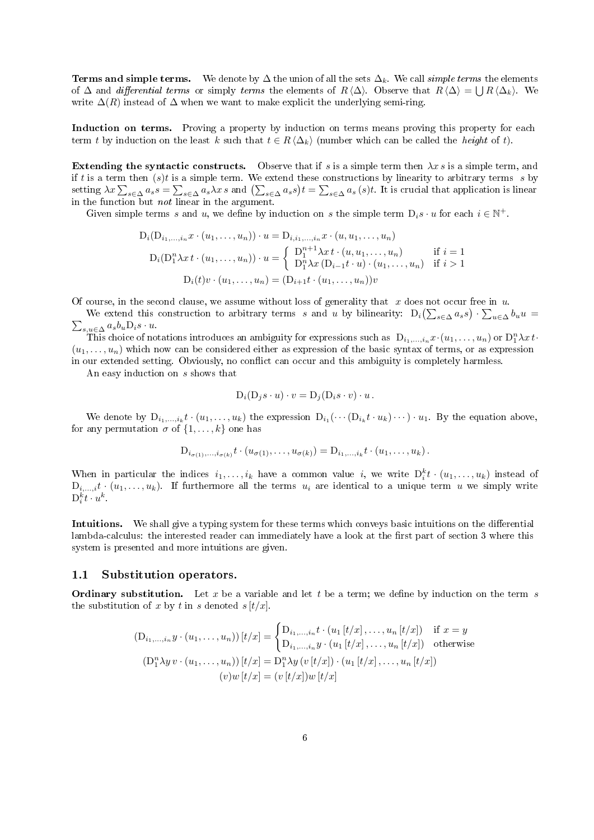**Terms and simple terms.** We denote by  $\Delta$  the union of all the sets  $\Delta_k$ . We call *simple terms* the elements of  $\Delta$  and differential terms or simply terms the elements of  $R \langle \Delta \rangle$ . Observe that  $R \langle \Delta \rangle = \bigcup R \langle \Delta_k \rangle$ . We write  $\Delta(R)$  instead of  $\Delta$  when we want to make explicit the underlying semi-ring.

Induction on terms. Proving a property by induction on terms means proving this property for each term t by induction on the least k such that  $t \in R \langle \Delta_k \rangle$  (number which can be called the *height* of t).

Extending the syntactic constructs. Observe that if s is a simple term then  $\lambda x$  s is a simple term, and if t is a term then  $(s)t$  is a simple term. We extend these constructions by linearity to arbitrary terms s by setting  $\lambda x \sum_{s \in \Delta} a_s s = \sum_{s \in \Delta} a_s \lambda x s$  and  $(\sum_{s \in \Delta} a_s s) t = \sum_{s \in \Delta} a_s (s) t$ . It is crucial that application is linear in the function but not linear in the argument.

Given simple terms s and u, we define by induction on s the simple term  $D_i s \cdot u$  for each  $i \in \mathbb{N}^+$ .

$$
D_i(D_{i_1,...,i_n}x \cdot (u_1,...,u_n)) \cdot u = D_{i,i_1,...,i_n}x \cdot (u, u_1,...,u_n)
$$
  
\n
$$
D_i(D_1^n \lambda x \cdot (u_1,...,u_n)) \cdot u = \begin{cases} D_1^{n+1} \lambda x \cdot (u, u_1,...,u_n) & \text{if } i = 1 \\ D_1^n \lambda x (D_{i-1}t \cdot u) \cdot (u_1,...,u_n) & \text{if } i > 1 \end{cases}
$$
  
\n
$$
D_i(t)v \cdot (u_1,...,u_n) = (D_{i+1}t \cdot (u_1,...,u_n))v
$$

Of course, in the second clause, we assume without loss of generality that  $x$  does not occur free in  $u$ .

We extend this construction to arbitrary terms s and u by bilinearity:  $D_i(\sum_{s\in\Delta}a_s s)\cdot\sum_{u\in\Delta}b_u u = \sum_{s,u\in\Delta}a_s b_u D_i s\cdot u$ .  $\sum_{s,u\in\Delta}a_{s}b_{u}\mathcal{D}_{i}s\cdot u.$ 

This choice of notations introduces an ambiguity for expressions such as  $D_{i_1,...,i_n}x \cdot (u_1,...,u_n)$  or  $D_1^n \lambda x$  t.  $(u_1, \ldots, u_n)$  which now can be considered either as expression of the basic syntax of terms, or as expression in our extended setting. Obviously, no conflict can occur and this ambiguity is completely harmless.

An easy induction on s shows that

$$
\mathbf{D}_i (\mathbf{D}_j s \cdot u) \cdot v = \mathbf{D}_j (\mathbf{D}_i s \cdot v) \cdot u \,.
$$

We denote by  $D_{i_1,...,i_k}t \cdot (u_1,...,u_k)$  the expression  $D_{i_1}(\cdots (D_{i_k}t \cdot u_k) \cdots) \cdot u_1$ . By the equation above, for any permutation  $\sigma$  of  $\{1, \ldots, k\}$  one has

$$
D_{i_{\sigma(1)},\ldots,i_{\sigma(k)}}t \cdot (u_{\sigma(1)},\ldots,u_{\sigma(k)}) = D_{i_1,\ldots,i_k}t \cdot (u_1,\ldots,u_k).
$$

When in particular the indices  $i_1, \ldots, i_k$  have a common value i, we write  $D_i^k t \cdot (u_1, \ldots, u_k)$  instead of  $D_{i,\ldots,i}t\cdot(u_1,\ldots,u_k)$ . If furthermore all the terms  $u_i$  are identical to a unique term u we simply write  ${\rm D}_{i}^k t \cdot u^k.$ 

Intuitions. We shall give a typing system for these terms which conveys basic intuitions on the differential lambda-calculus: the interested reader can immediately have a look at the first part of section 3 where this system is presented and more intuitions are given.

#### 1.1 Substitution operators.

**Ordinary substitution.** Let x be a variable and let t be a term; we define by induction on the term s the substitution of x by t in s denoted  $s[t/x]$ .

$$
(D_{i_1,\ldots,i_n}y \cdot (u_1,\ldots,u_n)) [t/x] = \begin{cases} D_{i_1,\ldots,i_n}t \cdot (u_1 [t/x],\ldots,u_n [t/x]) & \text{if } x = y \\ D_{i_1,\ldots,i_n}y \cdot (u_1 [t/x],\ldots,u_n [t/x]) & \text{otherwise} \end{cases}
$$
  

$$
(D_1^n \lambda y \cdot (u_1,\ldots,u_n)) [t/x] = D_1^n \lambda y \cdot (v [t/x]) \cdot (u_1 [t/x],\ldots,u_n [t/x])
$$
  

$$
(v) w [t/x] = (v [t/x]) w [t/x]
$$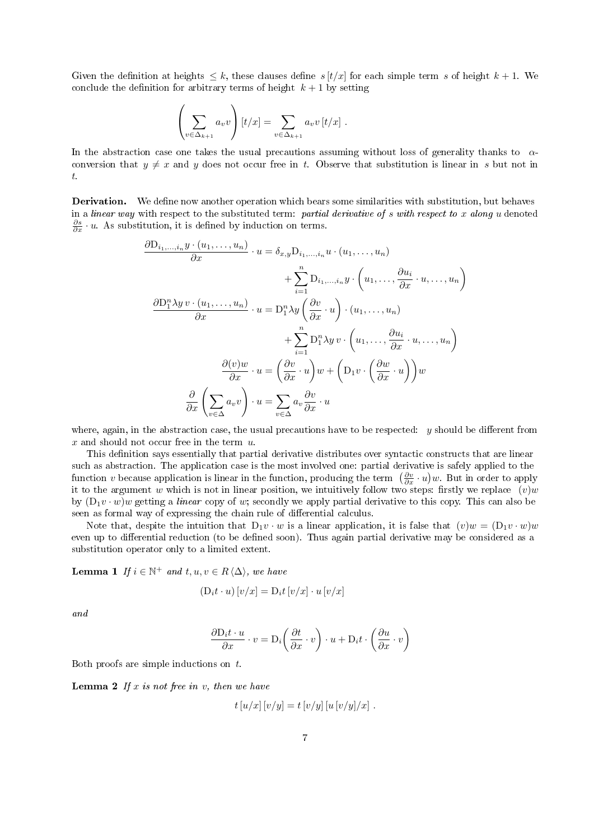Given the definition at heights  $\leq k$ , these clauses define  $s[t/x]$  for each simple term s of height  $k+1$ . We conclude the definition for arbitrary terms of height  $k + 1$  by setting

$$
\left(\sum_{v \in \Delta_{k+1}} a_v v\right) [t/x] = \sum_{v \in \Delta_{k+1}} a_v v [t/x].
$$

In the abstraction case one takes the usual precautions assuming without loss of generality thanks to  $\alpha$ conversion that  $y \neq x$  and y does not occur free in t. Observe that substitution is linear in s but not in t.

Derivation. We define now another operation which bears some similarities with substitution, but behaves in a linear way with respect to the substituted term: partial derivative of  $s$  with respect to  $x$  along u denoted  $\frac{\partial s}{\partial x} \cdot u$ . As substitution, it is defined by induction on terms.

$$
\frac{\partial D_{i_1,...,i_n} y \cdot (u_1,...,u_n)}{\partial x} \cdot u = \delta_{x,y} D_{i_1,...,i_n} u \cdot (u_1,...,u_n)
$$

$$
+ \sum_{i=1}^n D_{i_1,...,i_n} y \cdot \left( u_1,..., \frac{\partial u_i}{\partial x} \cdot u, ..., u_n \right)
$$

$$
\frac{\partial D_1^n \lambda y \cdot v \cdot (u_1,...,u_n)}{\partial x} \cdot u = D_1^n \lambda y \left( \frac{\partial v}{\partial x} \cdot u \right) \cdot (u_1,...,u_n)
$$

$$
+ \sum_{i=1}^n D_1^n \lambda y \cdot v \cdot \left( u_1,..., \frac{\partial u_i}{\partial x} \cdot u, ..., u_n \right)
$$

$$
\frac{\partial (v)w}{\partial x} \cdot u = \left( \frac{\partial v}{\partial x} \cdot u \right) w + \left( D_1 v \cdot \left( \frac{\partial w}{\partial x} \cdot u \right) \right) w
$$

$$
\frac{\partial}{\partial x} \left( \sum_{v \in \Delta} a_v v \right) \cdot u = \sum_{v \in \Delta} a_v \frac{\partial v}{\partial x} \cdot u
$$

where, again, in the abstraction case, the usual precautions have to be respected:  $y$  should be different from  $x$  and should not occur free in the term  $u$ .

This definition says essentially that partial derivative distributes over syntactic constructs that are linear such as abstraction. The application case is the most involved one: partial derivative is safely applied to the function v because application is linear in the function, producing the term  $(\frac{\partial v}{\partial x} \cdot u)w$ . But in order to apply it to the argument w which is not in linear position, we intuitively follow two steps: firstly we replace  $(v)w$ by  $(D_1v \cdot w)w$  getting a linear copy of w; secondly we apply partial derivative to this copy. This can also be seen as formal way of expressing the chain rule of differential calculus.

Note that, despite the intuition that  $D_1v \cdot w$  is a linear application, it is false that  $(v)w = (D_1v \cdot w)w$ even up to differential reduction (to be defined soon). Thus again partial derivative may be considered as a substitution operator only to a limited extent.

**Lemma 1** If  $i \in \mathbb{N}^+$  and  $t, u, v \in R \langle \Delta \rangle$ , we have

$$
(\mathbf{D}_i t \cdot u) [v/x] = \mathbf{D}_i t [v/x] \cdot u [v/x]
$$

and

$$
\frac{\partial \mathcal{D}_i t \cdot u}{\partial x} \cdot v = \mathcal{D}_i \left( \frac{\partial t}{\partial x} \cdot v \right) \cdot u + \mathcal{D}_i t \cdot \left( \frac{\partial u}{\partial x} \cdot v \right)
$$

Both proofs are simple inductions on t.

**Lemma 2** If x is not free in v, then we have

$$
t[u/x][v/y] = t[v/y][u[v/y]/x].
$$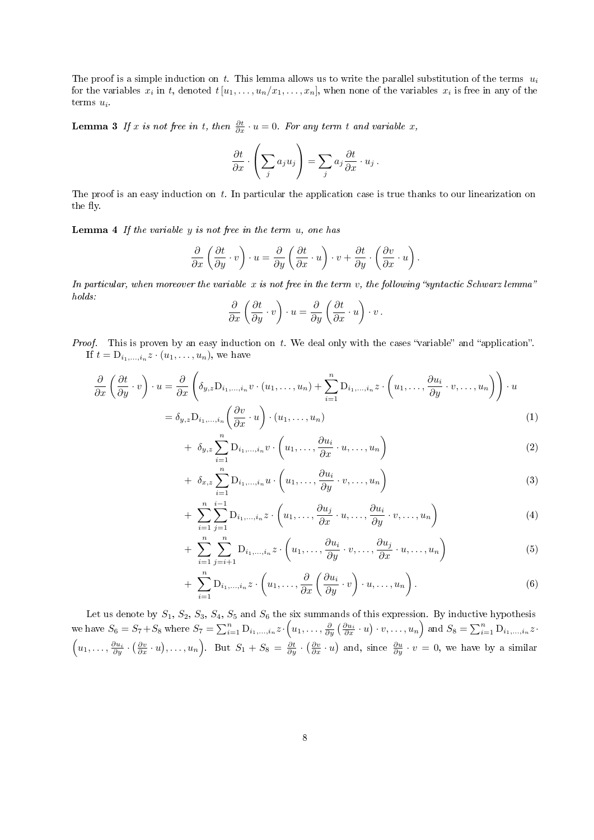The proof is a simple induction on t. This lemma allows us to write the parallel substitution of the terms  $u_i$ for the variables  $x_i$  in t, denoted  $t[u_1,\ldots,u_n/x_1,\ldots,x_n]$ , when none of the variables  $x_i$  is free in any of the terms  $u_i$ .

**Lemma 3** If x is not free in t, then  $\frac{\partial t}{\partial x} \cdot u = 0$ . For any term t and variable x,

$$
\frac{\partial t}{\partial x} \cdot \left(\sum_j a_j u_j\right) = \sum_j a_j \frac{\partial t}{\partial x} \cdot u_j.
$$

The proof is an easy induction on  $t$ . In particular the application case is true thanks to our linearization on the fly.

**Lemma 4** If the variable  $y$  is not free in the term  $u$ , one has

$$
\frac{\partial}{\partial x}\left(\frac{\partial t}{\partial y}\cdot v\right)\cdot u=\frac{\partial}{\partial y}\left(\frac{\partial t}{\partial x}\cdot u\right)\cdot v+\frac{\partial t}{\partial y}\cdot\left(\frac{\partial v}{\partial x}\cdot u\right).
$$

In particular, when moreover the variable x is not free in the term v, the following "syntactic Schwarz lemma" holds:

$$
\frac{\partial}{\partial x}\left(\frac{\partial t}{\partial y}\cdot v\right)\cdot u=\frac{\partial}{\partial y}\left(\frac{\partial t}{\partial x}\cdot u\right)\cdot v.
$$

*Proof.* This is proven by an easy induction on  $t$ . We deal only with the cases "variable" and "application". If  $t = D_{i_1,...,i_n}z \cdot (u_1,...,u_n)$ , we have

$$
\frac{\partial}{\partial x} \left( \frac{\partial t}{\partial y} \cdot v \right) \cdot u = \frac{\partial}{\partial x} \left( \delta_{y,z} D_{i_1,...,i_n} v \cdot (u_1,...,u_n) + \sum_{i=1}^n D_{i_1,...,i_n} z \cdot \left( u_1,..., \frac{\partial u_i}{\partial y} \cdot v, \dots, u_n \right) \right) \cdot u
$$
\n
$$
= \delta_{y,z} D_{i_1,...,i_n} \left( \frac{\partial v}{\partial x} \cdot u \right) \cdot (u_1,...,u_n) \tag{1}
$$

+ 
$$
\delta_{y,z} \sum_{i=1}^{n} D_{i_1,...,i_n} v \cdot \left( u_1, \ldots, \frac{\partial u_i}{\partial x} \cdot u, \ldots, u_n \right)
$$
 (2)

+ 
$$
\delta_{x,z} \sum_{i=1}^n D_{i_1,...,i_n} u \cdot \left( u_1, \ldots, \frac{\partial u_i}{\partial y} \cdot v, \ldots, u_n \right)
$$
 (3)

+ 
$$
\sum_{i=1}^{n} \sum_{j=1}^{i-1} D_{i_1,...,i_n} z \cdot \left( u_1, \ldots, \frac{\partial u_j}{\partial x} \cdot u, \ldots, \frac{\partial u_i}{\partial y} \cdot v, \ldots, u_n \right)
$$
 (4)

+ 
$$
\sum_{i=1}^{n} \sum_{j=i+1}^{n} D_{i_1,...,i_n} z \cdot \left(u_1,...,\frac{\partial u_i}{\partial y} \cdot v,...,\frac{\partial u_j}{\partial x} \cdot u,...,u_n\right)
$$
 (5)

+ 
$$
\sum_{i=1}^{n} D_{i_1,...,i_n} z \cdot \left(u_1,...,\frac{\partial}{\partial x} \left(\frac{\partial u_i}{\partial y} \cdot v\right) \cdot u, ..., u_n\right)
$$
. (6)

Let us denote by  $S_1$ ,  $S_2$ ,  $S_3$ ,  $S_4$ ,  $S_5$  and  $S_6$  the six summands of this expression. By inductive hypothesis we have  $S_6 = S_7 + S_8$  where  $S_7 = \sum_{i=1}^n D_{i_1,...,i_n} z \cdot \left(u_1, \ldots, \frac{\partial}{\partial y} \left(\frac{\partial u_i}{\partial x} \cdot u\right) \cdot v, \ldots, u_n\right)$  and  $S_8 = \sum_{i=1}^n D_{i_1,...,i_n} z \cdot v$ .  $\left(u_1,\ldots,\frac{\partial u_i}{\partial y}\cdot\left(\frac{\partial v}{\partial x}\cdot u\right),\ldots,u_n\right)$ . But  $S_1+S_8=\frac{\partial t}{\partial y}\cdot\left(\frac{\partial v}{\partial x}\cdot u\right)$  and, since  $\frac{\partial u}{\partial y}\cdot v=0$ , we have by a similar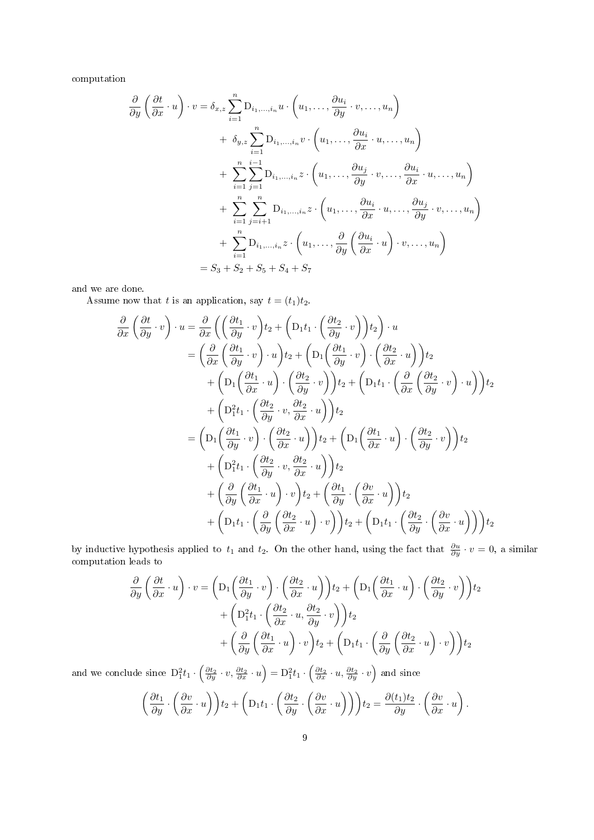computation

$$
\frac{\partial}{\partial y} \left( \frac{\partial t}{\partial x} \cdot u \right) \cdot v = \delta_{x,z} \sum_{i=1}^{n} D_{i_1,...,i_n} u \cdot \left( u_1, \dots, \frac{\partial u_i}{\partial y} \cdot v, \dots, u_n \right)
$$
  
+  $\delta_{y,z} \sum_{i=1}^{n} D_{i_1,...,i_n} v \cdot \left( u_1, \dots, \frac{\partial u_i}{\partial x} \cdot u, \dots, u_n \right)$   
+  $\sum_{i=1}^{n} \sum_{j=1}^{i-1} D_{i_1,...,i_n} z \cdot \left( u_1, \dots, \frac{\partial u_j}{\partial y} \cdot v, \dots, \frac{\partial u_i}{\partial x} \cdot u, \dots, u_n \right)$   
+  $\sum_{i=1}^{n} \sum_{j=i+1}^{n} D_{i_1,...,i_n} z \cdot \left( u_1, \dots, \frac{\partial u_i}{\partial x} \cdot u, \dots, \frac{\partial u_j}{\partial y} \cdot v, \dots, u_n \right)$   
+  $\sum_{i=1}^{n} D_{i_1,...,i_n} z \cdot \left( u_1, \dots, \frac{\partial}{\partial y} \left( \frac{\partial u_i}{\partial x} \cdot u \right) \cdot v, \dots, u_n \right)$   
=  $S_3 + S_2 + S_5 + S_4 + S_7$ 

and we are done.

Assume now that t is an application, say  $t = (t_1)t_2$ .

$$
\frac{\partial}{\partial x} \left( \frac{\partial t}{\partial y} \cdot v \right) \cdot u = \frac{\partial}{\partial x} \left( \left( \frac{\partial t_1}{\partial y} \cdot v \right) t_2 + \left( D_1 t_1 \cdot \left( \frac{\partial t_2}{\partial y} \cdot v \right) \right) t_2 \right) \cdot u \n= \left( \frac{\partial}{\partial x} \left( \frac{\partial t_1}{\partial y} \cdot v \right) \cdot u \right) t_2 + \left( D_1 \left( \frac{\partial t_1}{\partial y} \cdot v \right) \cdot \left( \frac{\partial t_2}{\partial x} \cdot u \right) \right) t_2 \n+ \left( D_1 \left( \frac{\partial t_1}{\partial x} \cdot u \right) \cdot \left( \frac{\partial t_2}{\partial y} \cdot v \right) \right) t_2 + \left( D_1 t_1 \cdot \left( \frac{\partial}{\partial x} \left( \frac{\partial t_2}{\partial y} \cdot v \right) \cdot u \right) \right) t_2 \n+ \left( D_1^2 t_1 \cdot \left( \frac{\partial t_2}{\partial y} \cdot v \cdot \frac{\partial t_2}{\partial x} \cdot u \right) \right) t_2 \n= \left( D_1 \left( \frac{\partial t_1}{\partial y} \cdot v \right) \cdot \left( \frac{\partial t_2}{\partial x} \cdot u \right) \right) t_2 + \left( D_1 \left( \frac{\partial t_1}{\partial x} \cdot u \right) \cdot \left( \frac{\partial t_2}{\partial y} \cdot v \right) \right) t_2 \n+ \left( D_1^2 t_1 \cdot \left( \frac{\partial t_2}{\partial y} \cdot v \cdot \frac{\partial t_2}{\partial x} \cdot u \right) \right) t_2 \n+ \left( \frac{\partial}{\partial y} \left( \frac{\partial t_1}{\partial x} \cdot u \right) \cdot v \right) t_2 + \left( \frac{\partial t_1}{\partial y} \cdot \left( \frac{\partial v}{\partial x} \cdot u \right) \right) t_2 \n+ \left( D_1 t_1 \cdot \left( \frac{\partial}{\partial y} \left( \frac{\partial t_2}{\partial x} \cdot u \right) \cdot v \right) \right) t_2 + \left( D_1 t_1 \cdot \left( \frac{\partial t_2}{\partial y} \cdot \left(
$$

by inductive hypothesis applied to  $t_1$  and  $t_2$ . On the other hand, using the fact that  $\frac{\partial u}{\partial y} \cdot v = 0$ , a similar computation leads to

$$
\frac{\partial}{\partial y} \left( \frac{\partial t}{\partial x} \cdot u \right) \cdot v = \left( D_1 \left( \frac{\partial t_1}{\partial y} \cdot v \right) \cdot \left( \frac{\partial t_2}{\partial x} \cdot u \right) \right) t_2 + \left( D_1 \left( \frac{\partial t_1}{\partial x} \cdot u \right) \cdot \left( \frac{\partial t_2}{\partial y} \cdot v \right) \right) t_2 \n+ \left( D_1^2 t_1 \cdot \left( \frac{\partial t_2}{\partial x} \cdot u, \frac{\partial t_2}{\partial y} \cdot v \right) \right) t_2 \n+ \left( \frac{\partial}{\partial y} \left( \frac{\partial t_1}{\partial x} \cdot u \right) \cdot v \right) t_2 + \left( D_1 t_1 \cdot \left( \frac{\partial}{\partial y} \left( \frac{\partial t_2}{\partial x} \cdot u \right) \cdot v \right) \right) t_2
$$

and we conclude since  $D_1^2 t_1 \cdot \left(\frac{\partial t_2}{\partial y} \cdot v, \frac{\partial t_2}{\partial x} \cdot u\right) = D_1^2 t_1 \cdot \left(\frac{\partial t_2}{\partial x} \cdot u, \frac{\partial t_2}{\partial y} \cdot v\right)$  and since

$$
\left(\frac{\partial t_1}{\partial y} \cdot \left(\frac{\partial v}{\partial x} \cdot u\right)\right) t_2 + \left(D_1 t_1 \cdot \left(\frac{\partial t_2}{\partial y} \cdot \left(\frac{\partial v}{\partial x} \cdot u\right)\right)\right) t_2 = \frac{\partial (t_1)t_2}{\partial y} \cdot \left(\frac{\partial v}{\partial x} \cdot u\right).
$$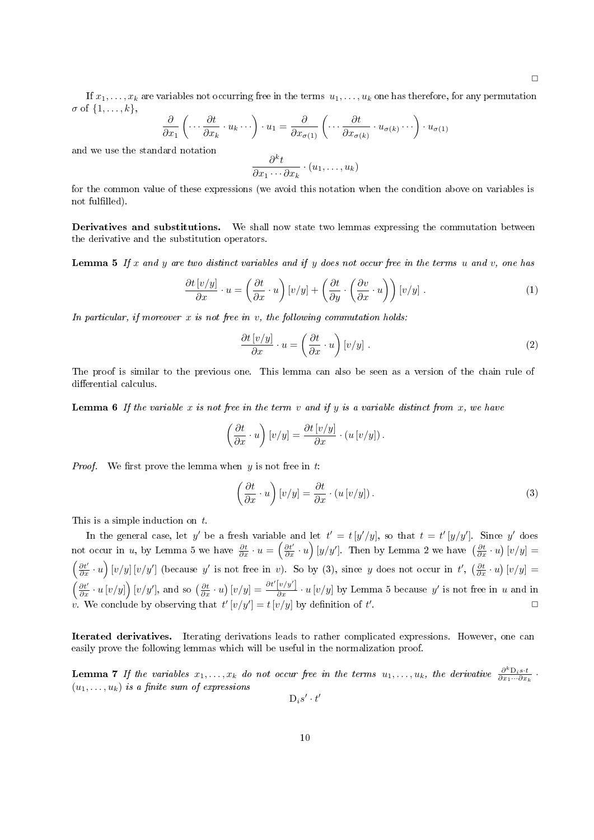$\Box$ 

If  $x_1, \ldots, x_k$  are variables not occurring free in the terms  $u_1, \ldots, u_k$  one has therefore, for any permutation  $\sigma$  of  $\{1,\ldots,k\},\$ 

$$
\frac{\partial}{\partial x_1} \left( \cdots \frac{\partial t}{\partial x_k} \cdot u_k \cdots \right) \cdot u_1 = \frac{\partial}{\partial x_{\sigma(1)}} \left( \cdots \frac{\partial t}{\partial x_{\sigma(k)}} \cdot u_{\sigma(k)} \cdots \right) \cdot u_{\sigma(1)}
$$

and we use the standard notation

$$
\frac{\partial^k t}{\partial x_1 \cdots \partial x_k} \cdot (u_1, \ldots, u_k)
$$

for the common value of these expressions (we avoid this notation when the condition above on variables is not fulfilled).

Derivatives and substitutions. We shall now state two lemmas expressing the commutation between the derivative and the substitution operators.

**Lemma 5** If x and y are two distinct variables and if y does not occur free in the terms u and v, one has

$$
\frac{\partial t\left[v/y\right]}{\partial x} \cdot u = \left(\frac{\partial t}{\partial x} \cdot u\right) \left[v/y\right] + \left(\frac{\partial t}{\partial y} \cdot \left(\frac{\partial v}{\partial x} \cdot u\right)\right) \left[v/y\right].\tag{1}
$$

In particular, if moreover  $x$  is not free in  $v$ , the following commutation holds:

$$
\frac{\partial t \left[ v/y \right]}{\partial x} \cdot u = \left( \frac{\partial t}{\partial x} \cdot u \right) \left[ v/y \right]. \tag{2}
$$

The proof is similar to the previous one. This lemma can also be seen as a version of the chain rule of differential calculus.

**Lemma 6** If the variable x is not free in the term v and if y is a variable distinct from x, we have

$$
\left(\frac{\partial t}{\partial x} \cdot u\right) [v/y] = \frac{\partial t [v/y]}{\partial x} \cdot (u [v/y]).
$$

*Proof.* We first prove the lemma when  $y$  is not free in  $t$ :

$$
\left(\frac{\partial t}{\partial x} \cdot u\right) [v/y] = \frac{\partial t}{\partial x} \cdot (u [v/y]). \tag{3}
$$

This is a simple induction on t.

In the general case, let y' be a fresh variable and let  $t' = t[y'/y]$ , so that  $t = t'[y/y']$ . Since y' does not occur in u, by Lemma 5 we have  $\frac{\partial t}{\partial x} \cdot u = \left(\frac{\partial t'}{\partial x} \cdot u\right) [y/y']$ . Then by Lemma 2 we have  $\left(\frac{\partial t}{\partial x} \cdot u\right) [v/y] =$  $\left(\frac{\partial t'}{\partial x} \cdot u\right) [v/y] [v/y']$  (because y' is not free in v). So by (3), since y does not occur in t',  $\left(\frac{\partial t'}{\partial x} \cdot u\right) [v/y] =$  $\left(\frac{\partial t'}{\partial x} \cdot u \left[v/y\right]\right) [v/y'],$  and so  $\left(\frac{\partial t}{\partial x} \cdot u\right) [v/y] = \frac{\partial t'[v/y']}{\partial x} \cdot u[v/y]$  by Lemma 5 because y' is not free in u and in v. We conclude by observing that  $t' [v/y'] = t [v/y]$  by definition of  $t'$ . The contract of the contract of the contract of  $\Box$ 

Iterated derivatives. Iterating derivations leads to rather complicated expressions. However, one can easily prove the following lemmas which will be useful in the normalization proof.

**Lemma 7** If the variables  $x_1, \ldots, x_k$  do not occur free in the terms  $u_1, \ldots, u_k$ , the derivative  $\frac{\partial^k D_i s \cdot t}{\partial x_1 \cdots \partial x_k}$ ·  $(u_1, \ldots, u_k)$  is a finite sum of expressions

 $D_i s' \cdot t'$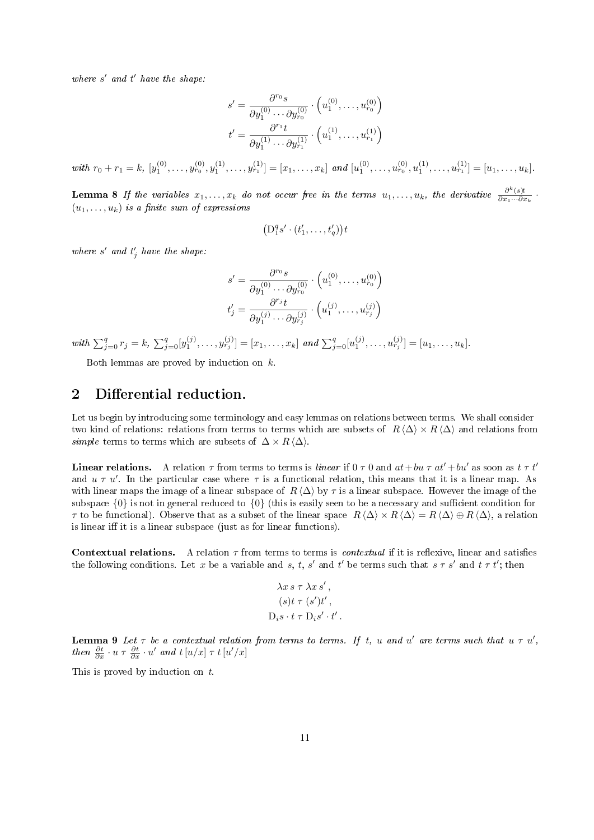where  $s'$  and  $t'$  have the shape:

$$
s' = \frac{\partial^{r_0} s}{\partial y_1^{(0)} \cdots \partial y_{r_0}^{(0)}} \cdot \left( u_1^{(0)}, \dots, u_{r_0}^{(0)} \right)
$$

$$
t' = \frac{\partial^{r_1} t}{\partial y_1^{(1)} \cdots \partial y_{r_1}^{(1)}} \cdot \left( u_1^{(1)}, \dots, u_{r_1}^{(1)} \right)
$$

with  $r_0 + r_1 = k$ ,  $[y_1^{(0)}, \ldots, y_{r_0}^{(0)}, y_1^{(1)}, \ldots, y_{r_1}^{(1)}] = [x_1, \ldots, x_k]$  and  $[u_1^{(0)}, \ldots, u_{r_0}^{(0)}, u_1^{(1)}, \ldots, u_{r_1}^{(1)}] = [u_1, \ldots, u_k]$ .

**Lemma 8** If the variables  $x_1, \ldots, x_k$  do not occur free in the terms  $u_1, \ldots, u_k$ , the derivative  $\frac{\partial^k(s)t}{\partial x_1 \cdots \partial x_k}$ .  $(u_1, \ldots, u_k)$  is a finite sum of expressions

$$
\left(\mathbf{D}_1^q s' \cdot (t'_1, \dots, t'_q)\right) t
$$

where  $s'$  and  $t'_{j}$  have the shape:

$$
s' = \frac{\partial^{r_0} s}{\partial y_1^{(0)} \cdots \partial y_{r_0}^{(0)}} \cdot \left( u_1^{(0)}, \ldots, u_{r_0}^{(0)} \right)
$$

$$
t'_j = \frac{\partial^{r_j} t}{\partial y_1^{(j)} \cdots \partial y_{r_j}^{(j)}} \cdot \left( u_1^{(j)}, \ldots, u_{r_j}^{(j)} \right)
$$

with  $\sum_{j=0}^q r_j = k$ ,  $\sum_{j=0}^q [y_1^{(j)}, \ldots, y_{r_j}^{(j)}] = [x_1, \ldots, x_k]$  and  $\sum_{j=0}^q [u_1^{(j)}, \ldots, u_{r_j}^{(j)}] = [u_1, \ldots, u_k]$ .

Both lemmas are proved by induction on k.

### 2 Differential reduction.

Let us begin by introducing some terminology and easy lemmas on relations between terms. We shall consider two kind of relations: relations from terms to terms which are subsets of  $R \langle \Delta \rangle \times R \langle \Delta \rangle$  and relations from simple terms to terms which are subsets of  $\Delta \times R \langle \Delta \rangle$ .

**Linear relations.** A relation  $\tau$  from terms to terms is linear if  $0 \tau 0$  and  $at+bu \tau at'+bu'$  as soon as  $t \tau t'$ and  $u \tau u'$ . In the particular case where  $\tau$  is a functional relation, this means that it is a linear map. As with linear maps the image of a linear subspace of  $R \langle \Delta \rangle$  by  $\tau$  is a linear subspace. However the image of the subspace  $\{0\}$  is not in general reduced to  $\{0\}$  (this is easily seen to be a necessary and sufficient condition for  $\tau$  to be functional). Observe that as a subset of the linear space  $R \langle \Delta \rangle \times R \langle \Delta \rangle = R \langle \Delta \rangle \oplus R \langle \Delta \rangle$ , a relation is linear iff it is a linear subspace (just as for linear functions).

Contextual relations. A relation  $\tau$  from terms to terms is *contextual* if it is reflexive, linear and satisfies the following conditions. Let x be a variable and s, t, s' and t' be terms such that  $s \tau s'$  and  $t \tau t'$ ; then

$$
\lambda x s \tau \lambda x s',
$$
  
\n
$$
(s)t \tau (s')t',
$$
  
\n
$$
D_i s \cdot t \tau D_i s' \cdot t'.
$$

**Lemma 9** Let  $\tau$  be a contextual relation from terms to terms. If t, u and u' are terms such that  $u \tau u'$ , then  $\frac{\partial t}{\partial x} \cdot u \tau \frac{\partial t}{\partial x} \cdot u'$  and  $t [u/x] \tau t [u'/x]$ 

This is proved by induction on t.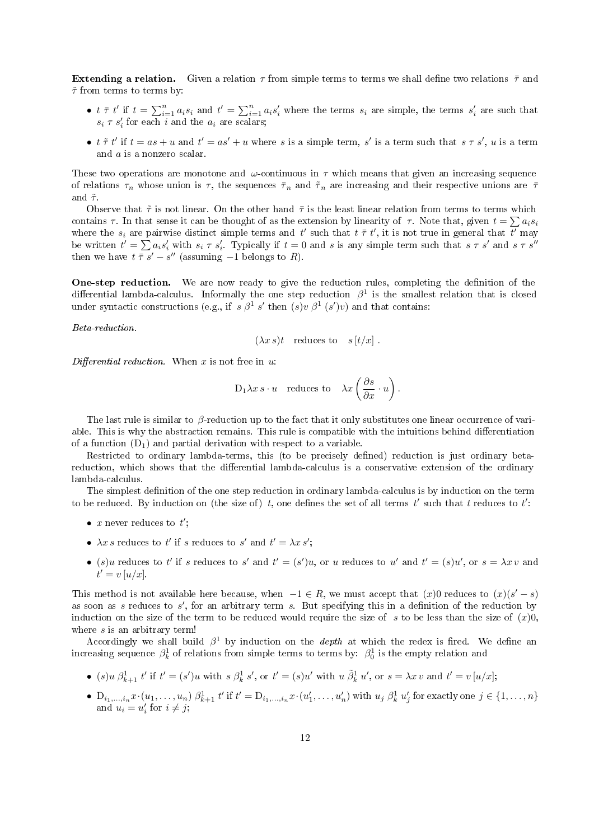**Extending a relation.** Given a relation  $\tau$  from simple terms to terms we shall define two relations  $\bar{\tau}$  and  $\tilde{\tau}$  from terms to terms by:

- $t \bar{\tau} t'$  if  $t = \sum_{i=1}^n a_i s_i$  and  $t' = \sum_{i=1}^n a_i s'_i$  where the terms  $s_i$  are simple, the terms  $s'_i$  are such that  $s_i \tau s'_i$  for each i and the  $a_i$  are scalars;
- $t \tilde{\tau} t'$  if  $t = as + u$  and  $t' = as' + u$  where s is a simple term, s' is a term such that  $s \tau s'$ , u is a term and a is a nonzero scalar.

These two operations are monotone and  $\omega$ -continuous in  $\tau$  which means that given an increasing sequence of relations  $\tau_n$  whose union is  $\tau$ , the sequences  $\bar{\tau}_n$  and  $\tilde{\tau}_n$  are increasing and their respective unions are  $\bar{\tau}$ and  $\tilde{\tau}$ .

Observe that  $\tilde{\tau}$  is not linear. On the other hand  $\bar{\tau}$  is the least linear relation from terms to terms which contains  $\tau$ . In that sense it can be thought of as the extension by linearity of  $\tau$ . Note that, given  $t = \sum a_i s_i$ where the  $s_i$  are pairwise distinct simple terms and t' such that  $t \bar{\tau} t'$ , it is not true in general that  $\overline{t'}$  may be written  $t' = \sum a_i s'_i$  with  $s_i \tau s'_i$ . Typically if  $t = 0$  and s is any simple term such that  $s \tau s'$  and  $s \tau s''$ then we have  $t \bar{\tau} s' - s''$  (assuming  $-1$  belongs to R).

**One-step reduction.** We are now ready to give the reduction rules, completing the definition of the differential lambda-calculus. Informally the one step reduction  $\beta^1$  is the smallest relation that is closed under syntactic constructions (e.g., if  $s \beta^1 s'$  then  $(s)v \beta^1 (s')v$ ) and that contains:

Beta-reduction.

$$
(\lambda x s)t
$$
 reduces to  $s[t/x]$ .

Differential reduction. When  $x$  is not free in  $u$ :

$$
D_1 \lambda x s \cdot u
$$
 reduces to  $\lambda x \left(\frac{\partial s}{\partial x} \cdot u\right)$ .

The last rule is similar to β-reduction up to the fact that it only substitutes one linear occurrence of variable. This is why the abstraction remains. This rule is compatible with the intuitions behind differentiation of a function  $(D_1)$  and partial derivation with respect to a variable.

Restricted to ordinary lambda-terms, this (to be precisely defined) reduction is just ordinary betareduction, which shows that the differential lambda-calculus is a conservative extension of the ordinary lambda-calculus.

The simplest definition of the one step reduction in ordinary lambda-calculus is by induction on the term to be reduced. By induction on (the size of) t, one defines the set of all terms t' such that t reduces to t':

- x never reduces to  $t'$ ;
- $\lambda x s$  reduces to t' if s reduces to s' and  $t' = \lambda x s'$ ;
- (s)u reduces to t' if s reduces to s' and  $t' = (s')u$ , or u reduces to u' and  $t' = (s)u'$ , or  $s = \lambda x v$  and  $\hat{t}' = v [u/x].$

This method is not available here because, when  $-1 \in R$ , we must accept that  $(x)0$  reduces to  $(x)(s'-s)$ as soon as s reduces to  $s'$ , for an arbitrary term s. But specifying this in a definition of the reduction by induction on the size of the term to be reduced would require the size of s to be less than the size of  $(x)0$ , where  $s$  is an arbitrary term!

Accordingly we shall build  $\beta^1$  by induction on the *depth* at which the redex is fired. We define an increasing sequence  $\beta_k^1$  of relations from simple terms to terms by:  $\beta_0^1$  is the empty relation and

- (s)  $u \beta_{k+1}^1 t'$  if  $t' = (s')u$  with  $s \beta_k^1 s'$ , or  $t' = (s)u'$  with  $u \tilde{\beta}_k^1 u'$ , or  $s = \lambda x v$  and  $t' = v[u/x]$ ;
- $D_{i_1,\ldots,i_n}x \cdot (u_1,\ldots,u_n) \beta_{k+1}^1 t'$  if  $t' = D_{i_1,\ldots,i_n}x \cdot (u'_1,\ldots,u'_n)$  with  $u_j \beta_k^1 u'_j$  for exactly one  $j \in \{1,\ldots,n\}$ and  $u_i = u'_i$  for  $i \neq j$ ;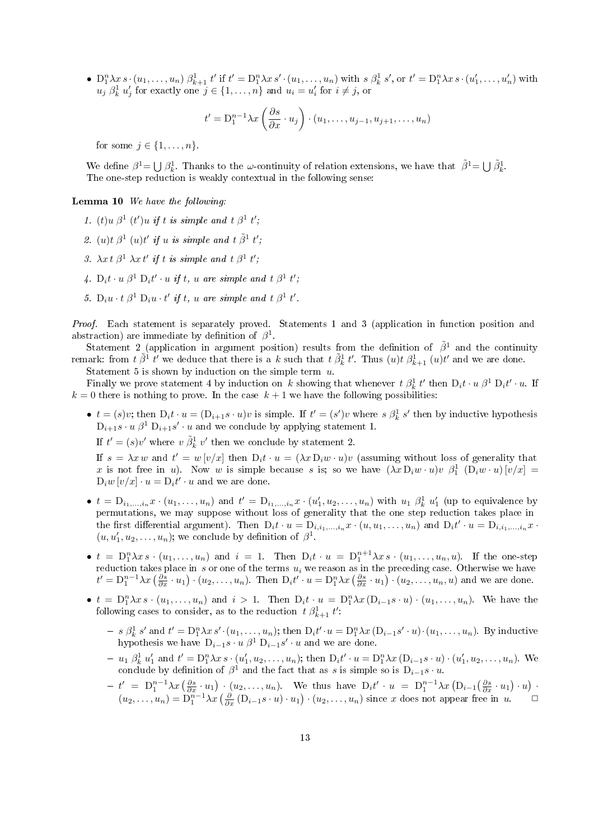•  $D_1^n \lambda x s \cdot (u_1, \ldots, u_n) \beta_{k+1}^1 t'$  if  $t' = D_1^n \lambda x s' \cdot (u_1, \ldots, u_n)$  with  $s \beta_k^1 s'$ , or  $t' = D_1^n \lambda x s \cdot (u'_1, \ldots, u'_n)$  with  $u_j \beta_k^1 u'_j$  for exactly one  $j \in \{1, \ldots, n\}$  and  $u_i = u'_i$  for  $i \neq j$ , or

$$
t' = D_1^{n-1} \lambda x \left( \frac{\partial s}{\partial x} \cdot u_j \right) \cdot (u_1, \dots, u_{j-1}, u_{j+1}, \dots, u_n)
$$

for some  $j \in \{1, \ldots, n\}$ .

We define  $\beta^1 = \bigcup \beta_k^1$ . Thanks to the  $\omega$ -continuity of relation extensions, we have that  $\tilde{\beta}^1 = \bigcup \tilde{\beta}_k^1$ . The one-step reduction is weakly contextual in the following sense:

#### Lemma 10 We have the following:

- 1. (t)u  $\beta^1$  (t')u if t is simple and t  $\beta^1$  t';
- 2. (u)t  $\beta^1$  (u)t' if u is simple and t  $\tilde{\beta}^1$  t',
- 3.  $\lambda x \, t \, \beta^1 \, \lambda x \, t'$  if t is simple and  $t \, \beta^1 \, t'$ ;
- 4.  $D_i t \cdot u \beta^1 D_i t' \cdot u$  if t, u are simple and  $t \beta^1 t'$ ;
- 5.  $D_i u \cdot t \beta^1 D_i u \cdot t'$  if t, u are simple and  $t \beta^1 t'$ .

Proof. Each statement is separately proved. Statements 1 and 3 (application in function position and abstraction) are immediate by definition of  $\beta^1$ .

Statement 2 (application in argument position) results from the definition of  $\tilde{\beta}^1$  and the continuity remark: from  $t \tilde{\beta}^1 t'$  we deduce that there is a k such that  $t \tilde{\beta}^1_k t'$ . Thus  $(u)t \beta^1_{k+1}(u)t'$  and we are done.

Statement 5 is shown by induction on the simple term  $u$ .

Finally we prove statement 4 by induction on k showing that whenever  $t \beta_k^1 t'$  then  $D_i t \cdot u \beta^1 D_i t' \cdot u$ . If  $k = 0$  there is nothing to prove. In the case  $k + 1$  we have the following possibilities:

•  $t = (s)v$ ; then  $D_i t \cdot u = (D_{i+1}s \cdot u)v$  is simple. If  $t' = (s')v$  where  $s \beta_k^1 s'$  then by inductive hypothesis  $D_{i+1}s \cdot u \cdot \beta^1 D_{i+1}s' \cdot u$  and we conclude by applying statement 1.

If  $t' = (s)v'$  where  $v \tilde{\beta}_k^1 v'$  then we conclude by statement 2.

If  $s = \lambda x w$  and  $t' = w[v/x]$  then  $D_i t \cdot u = (\lambda x D_i w \cdot u)v$  (assuming without loss of generality that x is not free in u). Now w is simple because s is; so we have  $(\lambda x D_i w \cdot u) v \beta_1^1 (D_i w \cdot u) [v/x] =$  $D_i w[v/x] \cdot u = D_i t' \cdot u$  and we are done.

- $t = D_{i_1,...,i_n} x \cdot (u_1,...,u_n)$  and  $t' = D_{i_1,...,i_n} x \cdot (u'_1,u_2,...,u_n)$  with  $u_1 \not\beta_k^1 u'_1$  (up to equivalence by permutations, we may suppose without loss of generality that the one step reduction takes place in the first differential argument). Then  $D_i t \cdot u = D_{i,i_1,...,i_n} x \cdot (u, u_1,..., u_n)$  and  $D_i t' \cdot u = D_{i,i_1,...,i_n} x \cdot$  $(u, u'_1, u_2, \dots, u_n)$ ; we conclude by definition of  $\beta^1$ .
- $t = D_1^n \lambda x s \cdot (u_1, \ldots, u_n)$  and  $i = 1$ . Then  $D_i t \cdot u = D_1^{n+1} \lambda x s \cdot (u_1, \ldots, u_n, u)$ . If the one-step reduction takes place in s or one of the terms  $u_i$  we reason as in the preceding case. Otherwise we have  $t' = D_1^{n-1} \lambda x \left( \frac{\partial s}{\partial x} \cdot u_1 \right) \cdot (u_2, \dots, u_n)$ . Then  $D_i t' \cdot u = D_1^n \lambda x \left( \frac{\partial s}{\partial x} \cdot u_1 \right) \cdot (u_2, \dots, u_n, u)$  and we are done.
- $t = D_1^n \lambda x s \cdot (u_1, \ldots, u_n)$  and  $i > 1$ . Then  $D_i t \cdot u = D_1^n \lambda x (D_{i-1} s \cdot u) \cdot (u_1, \ldots, u_n)$ . We have the following cases to consider, as to the reduction  $t \beta_{k+1}^1 t'$ :
	- $-s \beta_k^1 s'$  and  $t' = D_1^n \lambda x s' \cdot (u_1, \ldots, u_n)$ ; then  $D_i t' \cdot u = D_1^n \lambda x (D_{i-1} s' \cdot u) \cdot (u_1, \ldots, u_n)$ . By inductive hypothesis we have  $D_{i-1}s \cdot u \beta^1 D_{i-1}s' \cdot u$  and we are done.
	- $-u_1 \; \beta_k^1 \; u_1' \text{ and } t' = D_1^n \lambda x \, s \cdot (u_1', u_2, \dots, u_n); \text{ then } D_i t' \cdot u = D_1^n \lambda x \, (D_{i-1} s \cdot u) \cdot (u_1', u_2, \dots, u_n).$  We conclude by definition of  $\beta^1$  and the fact that as s is simple so is  $D_{i-1}s \cdot u$ .
	- $-t' = D_1^{n-1}\lambda x \left(\frac{\partial s}{\partial x} \cdot u_1\right) \cdot (u_2,\ldots,u_n)$ . We thus have  $D_i t' \cdot u = D_1^{n-1}\lambda x \left(D_{i-1}\left(\frac{\partial s}{\partial x} \cdot u_1\right) \cdot u\right)$ .  $(u_2,\ldots,u_n)=\overline{D_1^{n-1}\lambda x}\left(\frac{\partial}{\partial x}\left(D_{i-1}s\cdot u\right)\cdot u_1\right)\cdot(u_2,\ldots,u_n)$  since x does not appear free in  $u$ .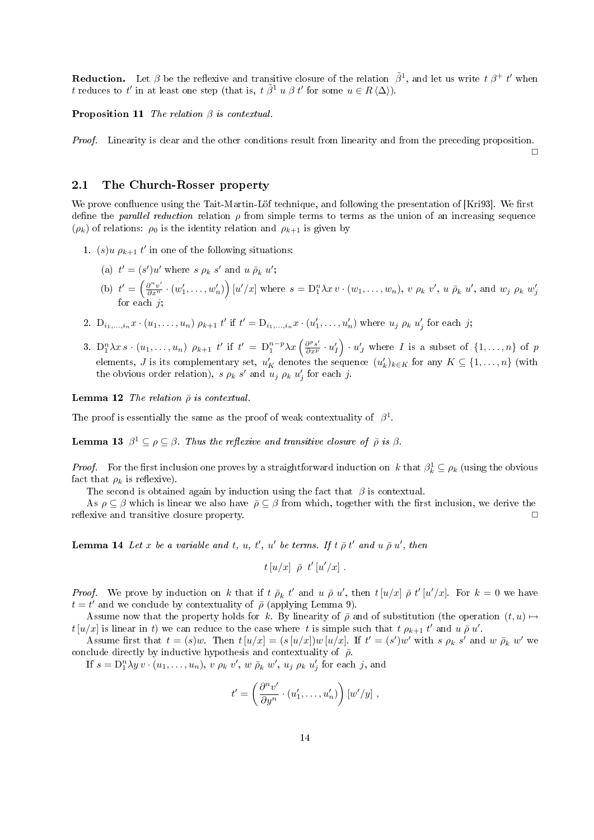**Reduction.** Let  $\beta$  be the reflexive and transitive closure of the relation  $\tilde{\beta}^1$ , and let us write  $t \beta^+ t'$  when t reduces to t' in at least one step (that is,  $t \tilde{\beta}^1 u \beta t'$  for some  $u \in R \langle \Delta \rangle$ ).

**Proposition 11** The relation  $\beta$  is contextual.

Proof. Linearity is clear and the other conditions result from linearity and from the preceding proposition.

 $\Box$ 

#### 2.1 The Church-Rosser property

We prove confluence using the Tait-Martin-Löf technique, and following the presentation of [Kri93]. We first define the *parallel reduction* relation  $\rho$  from simple terms to terms as the union of an increasing sequence  $(\rho_k)$  of relations:  $\rho_0$  is the identity relation and  $\rho_{k+1}$  is given by

- 1. (s)u  $\rho_{k+1} t'$  in one of the following situations:
	- (a)  $t' = (s')u'$  where  $s \rho_k s'$  and  $u \bar{\rho}_k u'$ ; (b)  $t' = \left(\frac{\partial^n v'}{\partial x^n} \cdot (w_1', \ldots, w_n')\right) [u'/x]$  where  $s = D_1^n \lambda x v \cdot (w_1, \ldots, w_n)$ , v  $\rho_k v'$ , u  $\bar{\rho}_k u'$ , and  $w_j \rho_k w'_j$ for each  $j;$
- 2.  $D_{i_1,...,i_n}x \cdot (u_1,...,u_n) \rho_{k+1} t'$  if  $t' = D_{i_1,...,i_n}x \cdot (u'_1,...,u'_n)$  where  $u_j \rho_k u'_j$  for each j;
- 3.  $D_1^n \lambda x s \cdot (u_1, \ldots, u_n) \rho_{k+1} t'$  if  $t' = D_1^{n-p} \lambda x \left( \frac{\partial^p s'}{\partial x^p} \cdot u'_I \right) \cdot u'_J$  where I is a subset of  $\{1, \ldots, n\}$  of p elements, J is its complementary set,  $u'_K$  denotes the sequence  $(u'_k)_{k\in K}$  for any  $K\subseteq \{1,\ldots,n\}$  (with the obvious order relation),  $s \rho_k s'$  and  $u_j \rho_k u'_j$  for each j.

**Lemma 12** The relation  $\bar{\rho}$  is contextual.

The proof is essentially the same as the proof of weak contextuality of  $\beta^1$ .

**Lemma 13**  $\beta^1 \subseteq \rho \subseteq \beta$ . Thus the reflexive and transitive closure of  $\bar{\rho}$  is  $\beta$ .

*Proof.* For the first inclusion one proves by a straightforward induction on k that  $\beta_k^1 \subseteq \rho_k$  (using the obvious fact that  $\rho_k$  is reflexive).

The second is obtained again by induction using the fact that  $\beta$  is contextual.

As  $\rho \subseteq \beta$  which is linear we also have  $\bar{\rho} \subseteq \beta$  from which, together with the first inclusion, we derive the reflexive and transitive closure property.

**Lemma 14** Let x be a variable and t, u, t', u' be terms. If  $t \bar{\rho} t'$  and  $u \bar{\rho} u'$ , then

$$
t\left[u/x\right] \ \bar{\rho} \ t'\left[u'/x\right] \, .
$$

*Proof.* We prove by induction on k that if  $t \bar{\rho}_k t'$  and  $u \bar{\rho} u'$ , then  $t [u/x] \bar{\rho} t' [u'/x]$ . For  $k = 0$  we have  $t = t'$  and we conclude by contextuality of  $\bar{\rho}$  (applying Lemma 9).

Assume now that the property holds for k. By linearity of  $\bar{\rho}$  and of substitution (the operation  $(t, u) \mapsto$  $t[u/x]$  is linear in t) we can reduce to the case where t is simple such that  $t \rho_{k+1} t'$  and  $u \bar{\rho} u'$ .

Assume first that  $t = (s)w$ . Then  $t[u/x] = (s[u/x])w[u/x]$ . If  $t' = (s')w'$  with s  $\rho_k s'$  and w  $\overline{\rho}_k w'$  we conclude directly by inductive hypothesis and contextuality of  $\bar{\rho}$ .

If  $s = D_1^n \lambda y v \cdot (u_1, \ldots, u_n)$ ,  $v \rho_k v'$ ,  $w \bar{\rho}_k w'$ ,  $u_j \rho_k u'_j$  for each j, and

$$
t' = \left(\frac{\partial^n v'}{\partial y^n} \cdot (u'_1, \dots, u'_n)\right) [w'/y],
$$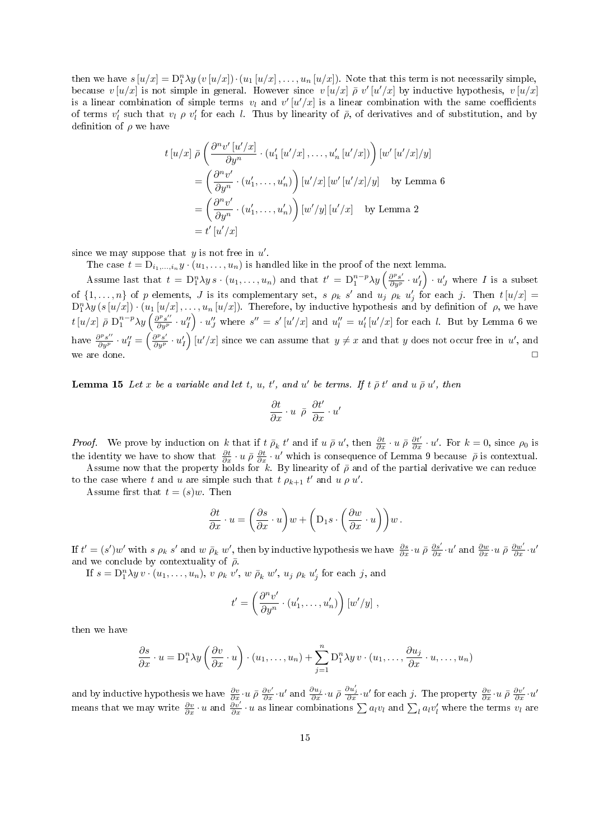then we have  $s[u/x] = D_1^n \lambda y(v[u/x]) \cdot (u_1[u/x], \ldots, u_n[u/x])$ . Note that this term is not necessarily simple, because  $v[u/x]$  is not simple in general. However since  $v[u/x]$   $\bar{\rho}$  v'[u'/x] by inductive hypothesis,  $v[u/x]$ is a linear combination of simple terms  $v_l$  and  $v'[u'/x]$  is a linear combination with the same coefficients of terms  $v'_l$  such that  $v_l \rho v'_l$  for each l. Thus by linearity of  $\bar{\rho}$ , of derivatives and of substitution, and by definition of  $\rho$  we have

$$
t[u/x] \bar{\rho} \left( \frac{\partial^n v'[u'/x]}{\partial y^n} \cdot (u'_1[u'/x], \dots, u'_n[u'/x]) \right) [w'[u'/x]/y]
$$
  
=  $\left( \frac{\partial^n v'}{\partial y^n} \cdot (u'_1, \dots, u'_n) \right) [u'/x] [w'[u'/x]/y] \quad \text{by Lemma 6}$   
=  $\left( \frac{\partial^n v'}{\partial y^n} \cdot (u'_1, \dots, u'_n) \right) [w'/y] [u'/x] \quad \text{by Lemma 2}$   
=  $t'[u'/x]$ 

since we may suppose that  $y$  is not free in  $u'$ .

The case  $t = D_{i_1,...,i_n} y \cdot (u_1,...,u_n)$  is handled like in the proof of the next lemma.

Assume last that  $t = D_1^n \lambda y s \cdot (u_1, \ldots, u_n)$  and that  $t' = D_1^{n-p} \lambda y \left( \frac{\partial^p s'}{\partial y^p} \cdot u'_I \right) \cdot u'_J$  where I is a subset of  $\{1,\ldots,n\}$  of p elements, J is its complementary set, s  $\rho_k$  s' and  $u_j \rho_k$   $u'_j$  for each j. Then  $t[u/x] =$  $D_1^n\lambda y(s[u/x])\cdot (u_1[u/x],\ldots,u_n[u/x])$ . Therefore, by inductive hypothesis and by definition of  $\rho$ , we have  $t [u/x] \bar{\rho} \, D_1^{n-p} \lambda y \left( \frac{\partial^p s^{\prime\prime}}{\partial y^p} \cdot u^{\prime\prime}_I \right) \cdot u^{\prime\prime}_J$  where  $s^{\prime\prime} = s^{\prime} [u^{\prime}/x]$  and  $u^{\prime\prime}_l = u^{\prime}_l [u^{\prime}/x]$  for each *l*. But by Lemma 6 we have  $\frac{\partial^p s''}{\partial y^p} \cdot u''_I = \left(\frac{\partial^p s'}{\partial y^p} \cdot u'_I\right) [u'/x]$  since we can assume that  $y \neq x$  and that y does not occur free in u', and we are done.  $\Box$ 

**Lemma 15** Let x be a variable and let t, u, t', and u' be terms. If t  $\bar{\rho} t'$  and  $u \bar{\rho} u'$ , then

$$
\frac{\partial t}{\partial x} \cdot u \ \ \bar{\rho} \ \ \frac{\partial t'}{\partial x} \cdot u'
$$

*Proof.* We prove by induction on k that if  $\bar{t}$   $\bar{\rho}_k$   $t'$  and if  $u \bar{\rho} u'$ , then  $\frac{\partial t}{\partial x} \cdot u \bar{\rho} \frac{\partial t'}{\partial x} \cdot u'$ . For  $k = 0$ , since  $\rho_0$  is the identity we have to show that  $\frac{\partial t}{\partial x} \cdot u \bar{\rho} \frac{\partial t}{\partial x} \cdot u'$  which is consequence of Lemma 9 because  $\bar{\rho}$  is contextual.

Assume now that the property holds for k. By linearity of  $\bar{\rho}$  and of the partial derivative we can reduce to the case where t and u are simple such that  $t \rho_{k+1} t'$  and  $u \rho u'$ .

Assume first that  $t = (s)w$ . Then

$$
\frac{\partial t}{\partial x} \cdot u = \left(\frac{\partial s}{\partial x} \cdot u\right) w + \left(D_1 s \cdot \left(\frac{\partial w}{\partial x} \cdot u\right)\right) w.
$$

If  $t' = (s')w'$  with s  $\rho_k s'$  and  $w \bar{\rho}_k w'$ , then by inductive hypothesis we have  $\frac{\partial s}{\partial x} \cdot u \bar{\rho} \frac{\partial s'}{\partial x} \cdot u'$  and  $\frac{\partial w}{\partial x} \cdot u \bar{\rho} \frac{\partial w'}{\partial x} \cdot u'$ and we conclude by contextuality of  $\bar{\rho}$ .

If  $s = D_1^n \lambda y v \cdot (u_1, \ldots, u_n)$ ,  $v \rho_k v'$ ,  $w \bar{\rho}_k w'$ ,  $u_j \rho_k u'_j$  for each j, and

$$
t' = \left(\frac{\partial^n v'}{\partial y^n} \cdot (u'_1, \dots, u'_n)\right) [w'/y],
$$

then we have

$$
\frac{\partial s}{\partial x} \cdot u = D_1^n \lambda y \left( \frac{\partial v}{\partial x} \cdot u \right) \cdot (u_1, \dots, u_n) + \sum_{j=1}^n D_1^n \lambda y \cdot (u_1, \dots, \frac{\partial u_j}{\partial x} \cdot u, \dots, u_n)
$$

and by inductive hypothesis we have  $\frac{\partial v}{\partial x} \cdot u \bar{\rho} \frac{\partial v'}{\partial x} \cdot u'$  and  $\frac{\partial u_j}{\partial x} \cdot u \bar{\rho} \frac{\partial u'_j}{\partial x} \cdot u'$  for each j. The property  $\frac{\partial v}{\partial x} \cdot u \bar{\rho} \frac{\partial v'}{\partial x} \cdot u'$ means that we may write  $\frac{\partial v}{\partial x} \cdot u$  and  $\frac{\partial v'}{\partial x} \cdot u$  as linear combinations  $\sum a_l v_l$  and  $\sum_l a_l v'_l$  where the terms  $v_l$  are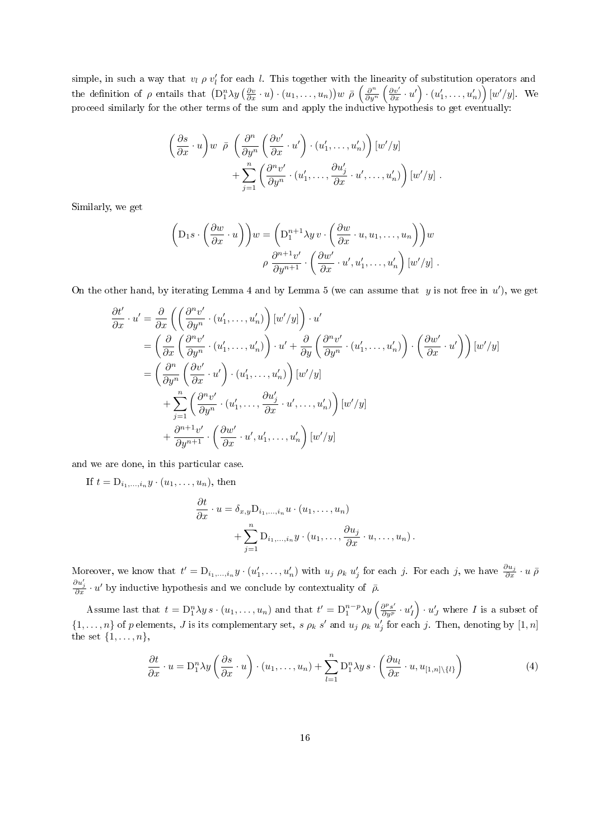simple, in such a way that  $v_l \rho v_l'$  for each l. This together with the linearity of substitution operators and the definition of  $\rho$  entails that  $(D_1^n \lambda y \left(\frac{\partial v}{\partial x} \cdot u\right) \cdot (u_1, \ldots, u_n))w \bar{\rho} \left(\frac{\partial^n}{\partial y^n}\right)$  $\frac{\partial^n}{\partial y^n} \left( \frac{\partial v'}{\partial x} \cdot u' \right) \cdot (u'_1, \dots, u'_n) \right) [w'/y].$  We proceed similarly for the other terms of the sum and apply the inductive hypothesis to get eventually:

$$
\left(\frac{\partial s}{\partial x} \cdot u\right) w \overline{\rho} \left(\frac{\partial^n}{\partial y^n} \left(\frac{\partial v'}{\partial x} \cdot u'\right) \cdot (u'_1, \dots, u'_n)\right) [w'/y] + \sum_{j=1}^n \left(\frac{\partial^n v'}{\partial y^n} \cdot (u'_1, \dots, \frac{\partial u'_j}{\partial x} \cdot u', \dots, u'_n)\right) [w'/y] .
$$

Similarly, we get

$$
\left(\mathcal{D}_1 s \cdot \left(\frac{\partial w}{\partial x} \cdot u\right)\right) w = \left(\mathcal{D}_1^{n+1} \lambda y v \cdot \left(\frac{\partial w}{\partial x} \cdot u, u_1, \dots, u_n\right)\right) w
$$

$$
\rho \frac{\partial^{n+1} v'}{\partial y^{n+1}} \cdot \left(\frac{\partial w'}{\partial x} \cdot u', u'_1, \dots, u'_n\right) [w'/y].
$$

On the other hand, by iterating Lemma 4 and by Lemma 5 (we can assume that  $y$  is not free in  $u'$ ), we get

$$
\frac{\partial t'}{\partial x} \cdot u' = \frac{\partial}{\partial x} \left( \left( \frac{\partial^n v'}{\partial y^n} \cdot (u'_1, \dots, u'_n) \right) [w'/y] \right) \cdot u'
$$
\n
$$
= \left( \frac{\partial}{\partial x} \left( \frac{\partial^n v'}{\partial y^n} \cdot (u'_1, \dots, u'_n) \right) \cdot u' + \frac{\partial}{\partial y} \left( \frac{\partial^n v'}{\partial y^n} \cdot (u'_1, \dots, u'_n) \right) \cdot \left( \frac{\partial w'}{\partial x} \cdot u' \right) \right) [w'/y]
$$
\n
$$
= \left( \frac{\partial^n}{\partial y^n} \left( \frac{\partial v'}{\partial x} \cdot u' \right) \cdot (u'_1, \dots, u'_n) \right) [w'/y]
$$
\n
$$
+ \sum_{j=1}^n \left( \frac{\partial^n v'}{\partial y^n} \cdot (u'_1, \dots, \frac{\partial u'_j}{\partial x} \cdot u', \dots, u'_n) \right) [w'/y]
$$
\n
$$
+ \frac{\partial^{n+1} v'}{\partial y^{n+1}} \cdot \left( \frac{\partial w'}{\partial x} \cdot u', u'_1, \dots, u'_n \right) [w'/y]
$$

and we are done, in this particular case.

If  $t = D_{i_1,\ldots,i_n} y \cdot (u_1,\ldots,u_n)$ , then

$$
\frac{\partial t}{\partial x} \cdot u = \delta_{x,y} D_{i_1,\dots,i_n} u \cdot (u_1,\dots,u_n) + \sum_{j=1}^n D_{i_1,\dots,i_n} y \cdot (u_1,\dots,\frac{\partial u_j}{\partial x} \cdot u,\dots,u_n).
$$

Moreover, we know that  $t' = D_{i_1,...,i_n} y \cdot (u'_1,...,u'_n)$  with  $u_j \rho_k u'_j$  for each j. For each j, we have  $\frac{\partial u_j}{\partial x} \cdot u \bar{\rho}$  $\frac{\partial u'_j}{\partial x} \cdot u'$  by inductive hypothesis and we conclude by contextuality of  $\bar{\rho}$ .

Assume last that  $t = D_1^n \lambda y s \cdot (u_1, \ldots, u_n)$  and that  $t' = D_1^{n-p} \lambda y \left( \frac{\partial^p s'}{\partial y^p} \cdot u'_I \right) \cdot u'_J$  where I is a subset of  $\{1,\ldots,n\}$  of p elements, J is its complementary set, s  $\rho_k$  s' and  $u_j$   $\rho_k$   $\hat{u}'_j$  for each j. Then, denoting by  $[1,n]$ the set  $\{1, \ldots, n\},\$ 

$$
\frac{\partial t}{\partial x} \cdot u = \mathcal{D}_1^n \lambda y \left( \frac{\partial s}{\partial x} \cdot u \right) \cdot (u_1, \dots, u_n) + \sum_{l=1}^n \mathcal{D}_1^n \lambda y \, s \cdot \left( \frac{\partial u_l}{\partial x} \cdot u, u_{[1,n] \setminus \{l\}} \right) \tag{4}
$$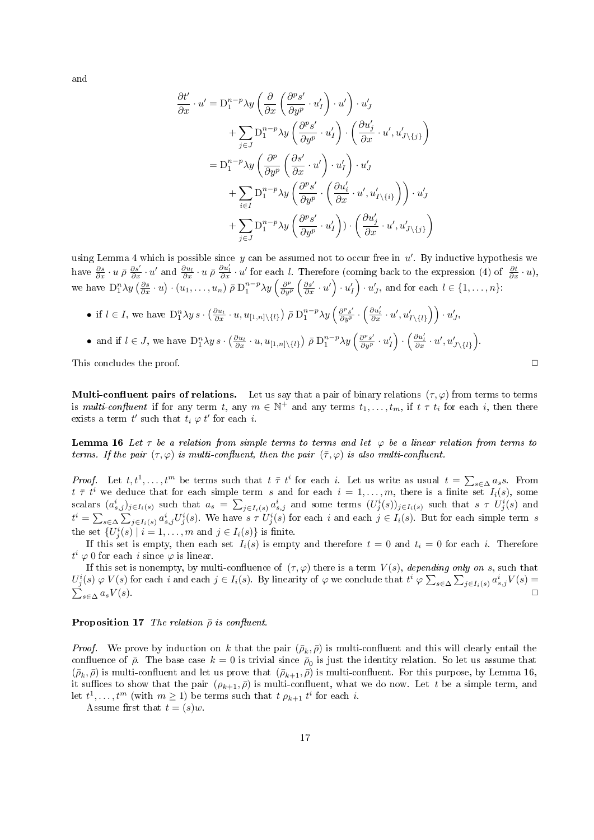and

$$
\frac{\partial t'}{\partial x} \cdot u' = D_1^{n-p} \lambda y \left( \frac{\partial}{\partial x} \left( \frac{\partial^p s'}{\partial y^p} \cdot u'_I \right) \cdot u' \right) \cdot u'_J \n+ \sum_{j \in J} D_1^{n-p} \lambda y \left( \frac{\partial^p s'}{\partial y^p} \cdot u'_I \right) \cdot \left( \frac{\partial u'_j}{\partial x} \cdot u', u'_{J \setminus \{j\}} \right) \n= D_1^{n-p} \lambda y \left( \frac{\partial^p}{\partial y^p} \left( \frac{\partial s'}{\partial x} \cdot u' \right) \cdot u'_I \right) \cdot u'_J \n+ \sum_{i \in I} D_1^{n-p} \lambda y \left( \frac{\partial^p s'}{\partial y^p} \cdot \left( \frac{\partial u'_i}{\partial x} \cdot u', u'_{I \setminus \{i\}} \right) \right) \cdot u'_J \n+ \sum_{j \in J} D_1^{n-p} \lambda y \left( \frac{\partial^p s'}{\partial y^p} \cdot u'_I \right) \cdot \left( \frac{\partial u'_j}{\partial x} \cdot u', u'_{J \setminus \{j\}} \right)
$$

using Lemma 4 which is possible since y can be assumed not to occur free in  $u'$ . By inductive hypothesis we have  $\frac{\partial s}{\partial x} \cdot u \bar{\rho} \frac{\partial s'}{\partial x} \cdot u'$  and  $\frac{\partial u_l}{\partial x} \cdot u \bar{\rho} \frac{\partial u_l'}{\partial x} \cdot u'$  for each l. Therefore (coming back to the expression (4) of  $\frac{\partial t}{\partial x} \cdot u$ ), we have  $D_1^n \lambda y \left(\frac{\partial s}{\partial x} \cdot u\right) \cdot (u_1, \ldots, u_n) \bar{\rho} D_1^{n-p} \lambda y \left(\frac{\partial^p}{\partial y^p} \right)$  $\frac{\partial^p}{\partial y^p} \left( \frac{\partial s'}{\partial x} \cdot u' \right) \cdot u'_I$ , and for each  $l \in \{1, \ldots, n\}$ :

\n- \n if 
$$
l \in I
$$
, we have  $D_1^n \lambda y s \cdot \left( \frac{\partial u_l}{\partial x} \cdot u, u_{[1,n] \setminus \{l\}} \right) \bar{\rho} D_1^{n-p} \lambda y \left( \frac{\partial P s'}{\partial y^p} \cdot \left( \frac{\partial u_l'}{\partial x} \cdot u', u'_{I \setminus \{l\}} \right) \right) \cdot u'_J$ ,\n
\n- \n and if  $l \in J$ , we have  $D_1^n \lambda y s \cdot \left( \frac{\partial u_l}{\partial x} \cdot u, u_{[1,n] \setminus \{l\}} \right) \bar{\rho} D_1^{n-p} \lambda y \left( \frac{\partial P s'}{\partial y^p} \cdot u'_I \right) \cdot \left( \frac{\partial u_l'}{\partial x} \cdot u', u'_{J \setminus \{l\}} \right)$ .\n
\n

This concludes the proof. ◯

**Multi-confluent pairs of relations.** Let us say that a pair of binary relations  $(\tau, \varphi)$  from terms to terms is multi-confluent if for any term t, any  $m \in \mathbb{N}^+$  and any terms  $t_1, \ldots, t_m$ , if  $t \tau t_i$  for each i, then there exists a term  $t'$  such that  $t_i \varphi t'$  for each i.

**Lemma 16** Let  $\tau$  be a relation from simple terms to terms and let  $\varphi$  be a linear relation from terms to terms. If the pair  $(\tau, \varphi)$  is multi-confluent, then the pair  $(\bar{\tau}, \varphi)$  is also multi-confluent.

*Proof.* Let  $t, t^1, \ldots, t^m$  be terms such that  $t \bar{\tau} t^i$  for each i. Let us write as usual  $t = \sum_{s \in \Delta} a_s s$ . From  $t \bar{\tau} t^i$  we deduce that for each simple term s and for each  $i = 1, \ldots, m$ , there is a finite set  $I_i(s)$ , some scalars  $(a_{s,j}^i)_{j\in I_i(s)}$  such that  $a_s = \sum_{j\in I_i(s)} a_{s,j}^i$  and some terms  $(U_j^i(s))_{j\in I_i(s)}$  such that  $s \tau U_j^i(s)$  and  $t^i = \sum_{s \in \Delta} \sum_{j \in I_i(s)} a^i_{s,j} U^i_j(s)$ . We have  $s \tau U^i_j(s)$  for each i and each  $j \in I_i(s)$ . But for each simple term s the set  $\{U_j^i(s) \mid i = 1, \ldots, m \text{ and } j \in I_i(s)\}$  is finite.

If this set is empty, then each set  $I_i(s)$  is empty and therefore  $t = 0$  and  $t_i = 0$  for each i. Therefore  $t^i \varphi$  0 for each *i* since  $\varphi$  is linear.

If this set is nonempty, by multi-confluence of  $(\tau, \varphi)$  there is a term  $V(s)$ , depending only on s, such that  $U_j^i(s) \varphi V(s)$  for each i and each  $j \in I_i(s)$ . By linearity of  $\varphi$  we conclude that  $t^i \varphi \sum_{s \in \Delta} \sum_{j \in I_i(s)} a_{s,j}^i V(s) =$  $\sum_{s\in\Delta}a_sV(s).$  $s\in\Delta$   $a_sV(s)$ .

#### **Proposition 17** The relation  $\bar{\rho}$  is confluent.

*Proof.* We prove by induction on k that the pair  $(\bar{\rho}_k, \bar{\rho})$  is multi-confluent and this will clearly entail the confluence of  $\bar{\rho}$ . The base case  $k = 0$  is trivial since  $\bar{\rho}_0$  is just the identity relation. So let us assume that  $(\bar{\rho}_k, \bar{\rho})$  is multi-confluent and let us prove that  $(\bar{\rho}_{k+1}, \bar{\rho})$  is multi-confluent. For this purpose, by Lemma 16, it suffices to show that the pair  $(\rho_{k+1}, \bar{\rho})$  is multi-confluent, what we do now. Let t be a simple term, and let  $t^1, \ldots, t^m$  (with  $m \ge 1$ ) be terms such that  $t \rho_{k+1} t^i$  for each i.

Assume first that  $t = (s)w$ .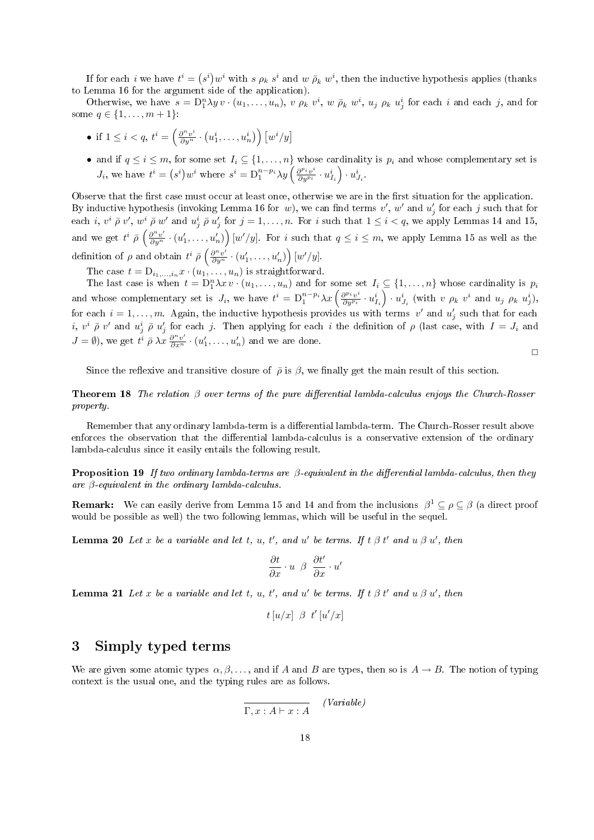If for each *i* we have  $t^i = (s^i)w^i$  with s  $\rho_k s^i$  and w  $\bar{\rho}_k w^i$ , then the inductive hypothesis applies (thanks to Lemma 16 for the argument side of the application).

Otherwise, we have  $s = D_1^n \lambda y v \cdot (u_1, \ldots, u_n)$ ,  $v \rho_k v^i$ ,  $w \bar{\rho}_k w^i$ ,  $u_j \rho_k u^i_j$  for each i and each j, and for some  $q \in \{1, ..., m + 1\}$ :

- if  $1 \leq i < q$ ,  $t^i = \left(\frac{\partial^n v^i}{\partial y^n} \cdot \left(u_1^i, \ldots, u_n^i\right)\right) \left[w^i/y\right]$
- and if  $q \leq i \leq m$ , for some set  $I_i \subseteq \{1, \ldots, n\}$  whose cardinality is  $p_i$  and whose complementary set is  $J_i$ , we have  $t^i = (s^i)w^i$  where  $s^i = \mathcal{D}_1^{n-p_i} \lambda y \left(\frac{\partial^{p_i} v^i}{\partial y^{p_i}}\right)$  $\frac{\partial^{p_i} v^i}{\partial y^{p_i}} \cdot u^i_{I_i} \Big) \cdot u^i_{J_i}.$

Observe that the first case must occur at least once, otherwise we are in the first situation for the application. By inductive hypothesis (invoking Lemma 16 for w), we can find terms  $v'$ , w' and  $u'_j$  for each j such that for each i,  $v^i \bar{\rho} v'$ ,  $w^i \bar{\rho} w'$  and  $u^i_j \bar{\rho} u'_j$  for  $j = 1, \ldots, n$ . For i such that  $1 \leq i < q$ , we apply Lemmas 14 and 15, and we get  $t^i \bar{\rho} \left( \frac{\partial^n v'}{\partial y^n} \cdot (u'_1, \dots, u'_n) \right) [w'/y]$ . For i such that  $q \le i \le m$ , we apply Lemma 15 as well as the definition of  $\rho$  and obtain  $t^i \bar{\rho} \left( \frac{\partial^n v'}{\partial y^n} \cdot (u'_1, \ldots, u'_n) \right) [w'/y].$ 

The case  $t = D_{i_1,...,i_n} x \cdot (u_1,...,u_n)$  is straightforward.

The last case is when  $t = D_1^n \lambda x v \cdot (u_1, \ldots, u_n)$  and for some set  $I_i \subseteq \{1, \ldots, n\}$  whose cardinality is  $p_i$ and whose complementary set is  $J_i$ , we have  $t^i = D_1^{n-p_i} \lambda x \left( \frac{\partial^{p_i} v^i}{\partial y^{p_i}} \right)$  $\frac{\partial^{p_i} v^i}{\partial y^{p_i}} \cdot u^i_{I_i}$   $\big) \cdot u^i_{J_i}$  (with  $v$   $\rho_k$   $v^i$  and  $u_j$   $\rho_k$   $u^i_j$ ), for each  $i = 1, \ldots, m$ . Again, the inductive hypothesis provides us with terms v' and  $u'_j$  such that for each *i*,  $v^i \bar{\rho} v'$  and  $u^i_j \bar{\rho} u'_j$  for each j. Then applying for each *i* the definition of  $\rho$  (last case, with  $I = J_i$  and  $J = \emptyset$ ), we get  $t^i \bar{\rho} \lambda x \frac{\partial^n v'}{\partial x^n} \cdot (u'_1, \dots, u'_n)$  and we are done.

 $\Box$ 

Since the reflexive and transitive closure of  $\bar{\rho}$  is  $\beta$ , we finally get the main result of this section.

**Theorem 18** The relation  $\beta$  over terms of the pure differential lambda-calculus enjoys the Church-Rosser property.

Remember that any ordinary lambda-term is a differential lambda-term. The Church-Rosser result above enforces the observation that the differential lambda-calculus is a conservative extension of the ordinary lambda-calculus since it easily entails the following result.

**Proposition 19** If two ordinary lambda-terms are  $\beta$ -equivalent in the differential lambda-calculus, then they are  $\beta$ -equivalent in the ordinary lambda-calculus.

**Remark:** We can easily derive from Lemma 15 and 14 and from the inclusions  $\beta^1 \subseteq \rho \subseteq \beta$  (a direct proof would be possible as well) the two following lemmas, which will be useful in the sequel.

**Lemma 20** Let x be a variable and let t, u, t', and u' be terms. If t  $\beta$  t' and u  $\beta$  u', then

$$
\frac{\partial t}{\partial x} \cdot u \ \beta \ \frac{\partial t'}{\partial x} \cdot u'
$$

**Lemma 21** Let x be a variable and let t, u, t', and u' be terms. If t  $\beta$  t' and u  $\beta$  u', then

$$
t\left[u/x\right] \not\!\beta \hspace{0.1cm} t'\left[u'/x\right]
$$

### 3 Simply typed terms

We are given some atomic types  $\alpha, \beta, \ldots$ , and if A and B are types, then so is  $A \to B$ . The notion of typing context is the usual one, and the typing rules are as follows.

$$
\overline{\Gamma, x : A \vdash x : A} \qquad (Variable)
$$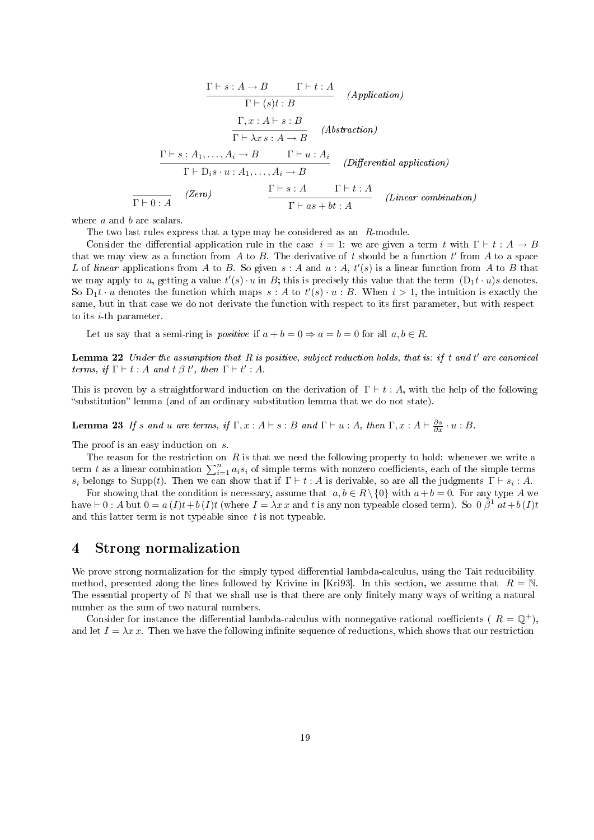$$
\frac{\Gamma \vdash s: A \to B \qquad \Gamma \vdash t: A}{\Gamma \vdash (s)t: B} \qquad (Application)
$$
\n
$$
\frac{\Gamma, x: A \vdash s: B}{\Gamma \vdash \lambda x: A \to B} \qquad (Abstraction)
$$
\n
$$
\frac{\Gamma \vdash s: A_1, \dots, A_i \to B \qquad \Gamma \vdash u: A_i}{\Gamma \vdash D_i s \cdot u: A_1, \dots, A_i \to B} \qquad (Differential application)
$$
\n
$$
\frac{\Gamma \vdash s: A \qquad \Gamma \vdash t: A}{\Gamma \vdash a: A \qquad \Gamma \vdash t: A} \qquad (Linear combination)
$$

where a and b are scalars.

The two last rules express that a type may be considered as an R-module.

Consider the differential application rule in the case  $i = 1$ : we are given a term t with  $\Gamma \vdash t : A \rightarrow B$ that we may view as a function from A to B. The derivative of t should be a function t' from A to a space L of linear applications from A to B. So given  $s : A$  and  $u : A, t'(s)$  is a linear function from A to B that we may apply to u, getting a value  $t'(s) \cdot u$  in B; this is precisely this value that the term  $(D_1t \cdot u)s$  denotes. So  $D_1 t \cdot u$  denotes the function which maps  $s : A$  to  $t'(s) \cdot u : B$ . When  $i > 1$ , the intuition is exactly the same, but in that case we do not derivate the function with respect to its first parameter, but with respect to its  $i$ -th parameter.

Let us say that a semi-ring is *positive* if  $a + b = 0 \Rightarrow a = b = 0$  for all  $a, b \in R$ .

**Lemma 22** Under the assumption that  $R$  is positive, subject reduction holds, that is: if t and t' are canonical terms, if  $\Gamma \vdash t : A$  and  $t \beta t'$ , then  $\Gamma \vdash t' : A$ .

This is proven by a straightforward induction on the derivation of  $\Gamma \vdash t : A$ , with the help of the following substitution lemma (and of an ordinary substitution lemma that we do not state).

**Lemma 23** If s and u are terms, if  $\Gamma, x : A \vdash s : B$  and  $\Gamma \vdash u : A$ , then  $\Gamma, x : A \vdash \frac{\partial s}{\partial x} \cdot u : B$ .

The proof is an easy induction on s.

The reason for the restriction on  $R$  is that we need the following property to hold: whenever we write a term t as a linear combination  $\sum_{i=1}^{n} a_i s_i$  of simple terms with nonzero coefficients, each of the simple terms  $s_i$  belongs to Supp(t). Then we can show that if  $\Gamma \vdash t : A$  is derivable, so are all the judgments  $\Gamma \vdash s_i : A$ .

For showing that the condition is necessary, assume that  $a, b \in R \setminus \{0\}$  with  $a+b=0$ . For any type A we have  $\vdash 0$ : A but  $0 = a(I)t + b(I)t$  (where  $I = \lambda x x$  and t is any non typeable closed term). So  $0 \tilde{\beta}^1 a t + b(I)t$ and this latter term is not typeable since  $t$  is not typeable.

### 4 Strong normalization

We prove strong normalization for the simply typed differential lambda-calculus, using the Tait reducibility method, presented along the lines followed by Krivine in [Kri93]. In this section, we assume that  $R = N$ . The essential property of N that we shall use is that there are only finitely many ways of writing a natural number as the sum of two natural numbers.

Consider for instance the differential lambda-calculus with nonnegative rational coefficients ( $R = \mathbb{O}^+$ ), and let  $I = \lambda x \, x$ . Then we have the following infinite sequence of reductions, which shows that our restriction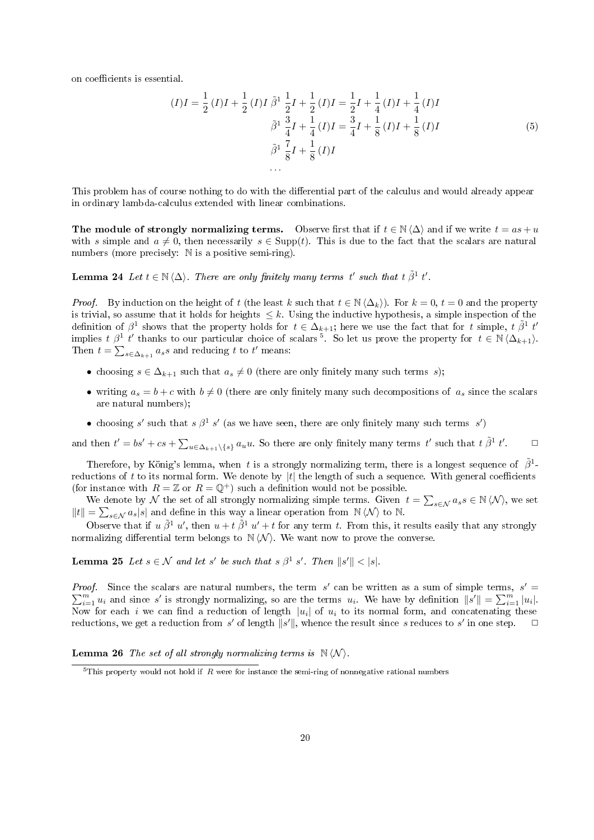on coefficients is essential.

$$
(I)I = \frac{1}{2}(I)I + \frac{1}{2}(I)I \tilde{\beta}^{1} \frac{1}{2}I + \frac{1}{2}(I)I = \frac{1}{2}I + \frac{1}{4}(I)I + \frac{1}{4}(I)I
$$

$$
\tilde{\beta}^{1} \frac{3}{4}I + \frac{1}{4}(I)I = \frac{3}{4}I + \frac{1}{8}(I)I + \frac{1}{8}(I)I
$$

$$
\tilde{\beta}^{1} \frac{7}{8}I + \frac{1}{8}(I)I
$$

$$
\dots
$$

$$
(5)
$$

This problem has of course nothing to do with the differential part of the calculus and would already appear in ordinary lambda-calculus extended with linear combinations.

The module of strongly normalizing terms. Observe first that if  $t \in \mathbb{N} \langle \Delta \rangle$  and if we write  $t = as + u$ with s simple and  $a \neq 0$ , then necessarily  $s \in \text{Supp}(t)$ . This is due to the fact that the scalars are natural numbers (more precisely:  $\mathbb N$  is a positive semi-ring).

**Lemma 24** Let  $t \in \mathbb{N} \langle \Delta \rangle$ . There are only finitely many terms t' such that  $t \tilde{\beta}^1 t'$ .

*Proof.* By induction on the height of t (the least k such that  $t \in \mathbb{N} \langle \Delta_k \rangle$ ). For  $k = 0, t = 0$  and the property is trivial, so assume that it holds for heights  $\leq k$ . Using the inductive hypothesis, a simple inspection of the definition of  $\beta^1$  shows that the property holds for  $t \in \Delta_{k+1}$ ; here we use the fact that for t simple,  $t \tilde{\beta}^1$  t' implies  $t \beta^1 t'$  thanks to our particular choice of scalars<sup>5</sup>. So let us prove the property for  $t \in N(\Delta_{k+1})$ . Then  $t = \sum_{s \in \Delta_{k+1}} a_s s$  and reducing t to t' means:

- choosing  $s \in \Delta_{k+1}$  such that  $a_s \neq 0$  (there are only finitely many such terms s);
- writing  $a_s = b + c$  with  $b \neq 0$  (there are only finitely many such decompositions of  $a_s$  since the scalars are natural numbers);
- choosing s' such that s  $\beta^1$  s' (as we have seen, there are only finitely many such terms s')

and then  $t' = bs' + cs + \sum_{u \in \Delta_{k+1} \setminus \{s\}} a_u u$ . So there are only finitely many terms  $t'$  such that  $t \tilde{\beta}^1 t'$  $\Box$ 

Therefore, by König's lemma, when t is a strongly normalizing term, there is a longest sequence of  $\tilde{\beta}^1$ reductions of t to its normal form. We denote by  $|t|$  the length of such a sequence. With general coefficients (for instance with  $R = \mathbb{Z}$  or  $R = \mathbb{Q}^+$ ) such a definition would not be possible.

We denote by  $\mathcal N$  the set of all strongly normalizing simple terms. Given  $t = \sum_{s \in \mathcal N} a_s s \in \mathbb N \langle \mathcal N \rangle$ , we set  $||t|| = \sum_{s \in \mathcal{N}} a_s |s|$  and define in this way a linear operation from N $\langle \mathcal{N} \rangle$  to N.

Observe that if  $u \tilde{\beta}^1 u'$ , then  $u + t \tilde{\beta}^1 u' + t$  for any term t. From this, it results easily that any strongly normalizing differential term belongs to  $N \langle N \rangle$ . We want now to prove the converse.

**Lemma 25** Let  $s \in \mathcal{N}$  and let s' be such that  $s \beta^1 s'$ . Then  $||s'|| < |s|$ .

*Proof.* Since the scalars are natural numbers, the term s' can be written as a sum of simple terms,  $s' =$  $\sum_{i=1}^{m} u_i$  and since s' is strongly normalizing, so are the terms  $u_i$ . We have by definition  $\|\hat{s'}\| = \sum_{i=1}^{m} |u_i|$ . Now for each i we can find a reduction of length  $|u_i|$  of  $u_i$  to its normal form, and concatenating these reductions, we get a reduction from s' of length  $||s'||$ , whence the result since s reduces to s' in one step.  $\square$ 

**Lemma 26** The set of all strongly normalizing terms is  $\mathbb{N} \langle \mathcal{N} \rangle$ .

 $5$ This property would not hold if R were for instance the semi-ring of nonnegative rational numbers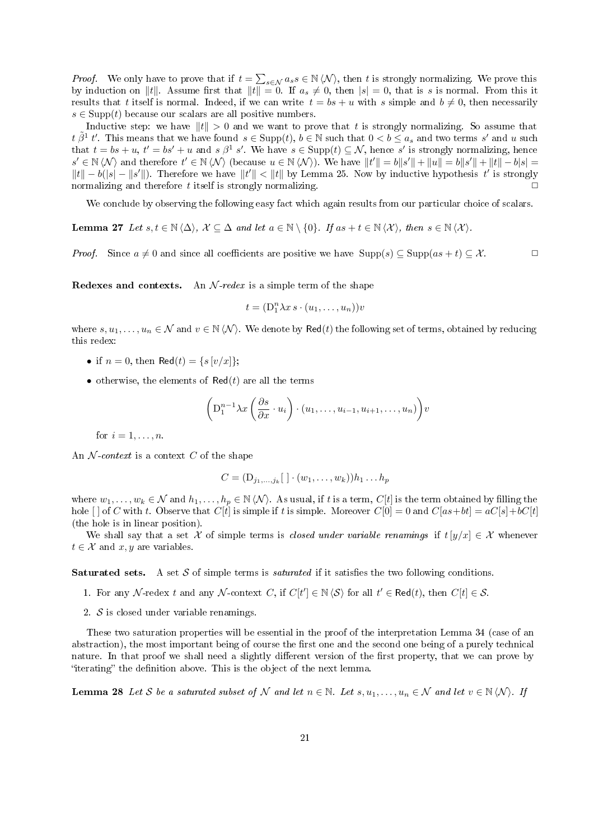*Proof.* We only have to prove that if  $t = \sum_{s \in \mathcal{N}} a_s s \in \mathbb{N} \langle \mathcal{N} \rangle$ , then t is strongly normalizing. We prove this by induction on ||t||. Assume first that  $||t|| = 0$ . If  $a_s \neq 0$ , then  $|s| = 0$ , that is s is normal. From this it results that t itself is normal. Indeed, if we can write  $t = bs + u$  with s simple and  $b \neq 0$ , then necessarily  $s \in \text{Supp}(t)$  because our scalars are all positive numbers.

Inductive step: we have  $||t|| > 0$  and we want to prove that t is strongly normalizing. So assume that  $t \tilde{\beta}^1 t'$ . This means that we have found  $s \in \text{Supp}(t)$ ,  $b \in \mathbb{N}$  such that  $0 < b \le a_s$  and two terms s' and u such that  $t = bs + u$ ,  $t' = bs' + u$  and  $s \beta^1 s'$ . We have  $s \in \text{Supp}(t) \subseteq \mathcal{N}$ , hence s' is strongly normalizing, hence  $s' \in \mathbb{N} \langle \mathcal{N} \rangle$  and therefore  $t' \in \mathbb{N} \langle \mathcal{N} \rangle$  (because  $u \in \mathbb{N} \langle \mathcal{N} \rangle$ ). We have  $||t'|| = b||s'|| + ||u|| = b||s'|| + ||t|| - b|s| =$  $||t|| - b(|s| - ||s'||)$ . Therefore we have  $||t'|| < ||t||$  by Lemma 25. Now by inductive hypothesis t' is strongly normalizing and therefore t itself is strongly normalizing.  $\Box$ 

We conclude by observing the following easy fact which again results from our particular choice of scalars.

Lemma 27 Let  $s, t \in \mathbb{N} \langle \Delta \rangle$ ,  $\mathcal{X} \subseteq \Delta$  and let  $a \in \mathbb{N} \setminus \{0\}$ . If  $as + t \in \mathbb{N} \langle \mathcal{X} \rangle$ , then  $s \in \mathbb{N} \langle \mathcal{X} \rangle$ .

*Proof.* Since  $a \neq 0$  and since all coefficients are positive we have  $\text{Supp}(s) \subseteq \text{Supp}(as + t) \subseteq \mathcal{X}$ .

**Redexes and contexts.** An  $N$ -redex is a simple term of the shape

$$
t = (\mathbf{D}_1^n \lambda x \, s \cdot (u_1, \dots, u_n))v
$$

where  $s, u_1, \ldots, u_n \in \mathcal{N}$  and  $v \in \mathbb{N} \langle \mathcal{N} \rangle$ . We denote by Red(t) the following set of terms, obtained by reducing this redex:

- if  $n = 0$ , then Red $(t) = \{s \, [v/x] \};$
- otherwise, the elements of  $\text{Red}(t)$  are all the terms

$$
\left(\mathbf{D}_{1}^{n-1}\lambda x\left(\frac{\partial s}{\partial x}\cdot u_{i}\right)\cdot\left(u_{1},\ldots,u_{i-1},u_{i+1},\ldots,u_{n}\right)\right)v
$$

for  $i = 1, \ldots, n$ .

An  $\mathcal N$ -context is a context C of the shape

$$
C = (\mathbf{D}_{j_1,\ldots,j_k}[\cdot] \cdot (w_1,\ldots,w_k))h_1\ldots h_p
$$

where  $w_1, \ldots, w_k \in \mathcal{N}$  and  $h_1, \ldots, h_p \in \mathbb{N} \langle \mathcal{N} \rangle$ . As usual, if t is a term,  $C[t]$  is the term obtained by filling the hole  $[\ ]$  of C with t. Observe that  $C[t]$  is simple if t is simple. Moreover  $C[0] = 0$  and  $C[as+bt] = aC[s]+bC[t]$ (the hole is in linear position).

We shall say that a set X of simple terms is closed under variable renamings if  $t[y/x] \in \mathcal{X}$  whenever  $t \in \mathcal{X}$  and  $x, y$  are variables.

**Saturated sets.** A set S of simple terms is *saturated* if it satisfies the two following conditions.

- 1. For any N-redex t and any N-context C, if  $C[t'] \in \mathbb{N} \langle \mathcal{S} \rangle$  for all  $t' \in \text{Red}(t)$ , then  $C[t] \in \mathcal{S}$ .
- 2.  $S$  is closed under variable renamings.

These two saturation properties will be essential in the proof of the interpretation Lemma 34 (case of an abstraction), the most important being of course the first one and the second one being of a purely technical nature. In that proof we shall need a slightly different version of the first property, that we can prove by "iterating" the definition above. This is the object of the next lemma.

**Lemma 28** Let S be a saturated subset of N and let  $n \in \mathbb{N}$ . Let  $s, u_1, \ldots, u_n \in \mathcal{N}$  and let  $v \in \mathbb{N} \langle \mathcal{N} \rangle$ . If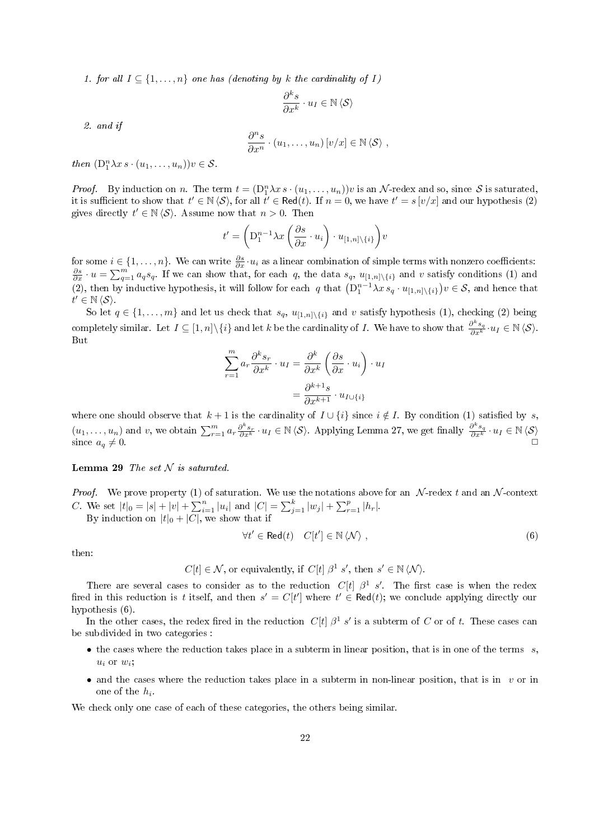1. for all  $I \subseteq \{1, \ldots, n\}$  one has (denoting by k the cardinality of I)

$$
\frac{\partial^k s}{\partial x^k} \cdot u_I \in \mathbb{N} \langle \mathcal{S} \rangle
$$

2. and if

$$
\frac{\partial^n s}{\partial x^n} \cdot (u_1, \dots, u_n) [v/x] \in \mathbb{N} \langle \mathcal{S} \rangle ,
$$

then  $(D_1^n \lambda x s \cdot (u_1, \ldots, u_n))v \in S$ .

*Proof.* By induction on n. The term  $t = (\mathcal{D}_1^n \lambda x s \cdot (u_1, \dots, u_n))v$  is an N-redex and so, since S is saturated, it is sufficient to show that  $t' \in \mathbb{N} \langle S \rangle$ , for all  $t' \in \text{Red}(t)$ . If  $n = 0$ , we have  $t' = s[v/x]$  and our hypothesis (2) gives directly  $t' \in \mathbb{N} \langle \mathcal{S} \rangle$ . Assume now that  $n > 0$ . Then

$$
t' = \left(\mathbf{D}_1^{n-1} \lambda x \left(\frac{\partial s}{\partial x} \cdot u_i\right) \cdot u_{[1,n]\setminus\{i\}}\right) v
$$

for some  $i \in \{1,\ldots,n\}$ . We can write  $\frac{\partial s}{\partial x} \cdot u_i$  as a linear combination of simple terms with nonzero coefficients:  $\frac{\partial s}{\partial x} \cdot u = \sum_{q=1}^m a_q s_q$ . If we can show that, for each q, the data  $s_q$ ,  $u_{[1,n]\setminus\{i\}}$  and v satisfy conditions (1) and (2), then by inductive hypothesis, it will follow for each q that  $(D_1^{n-1}\lambda x s_q \cdot u_{[1,n]\setminus\{i\}})v \in S$ , and hence that  $t' \in \mathbb{N} \langle \mathcal{S} \rangle$ .

So let  $q \in \{1, \ldots, m\}$  and let us check that  $s_q$ ,  $u_{[1,n]\setminus\{i\}}$  and v satisfy hypothesis (1), checking (2) being completely similar. Let  $I \subseteq [1,n] \setminus \{i\}$  and let k be the cardinality of I. We have to show that  $\frac{\partial^k s_q}{\partial x^k} \cdot u_I \in \mathbb{N} \langle \mathcal{S} \rangle$ . But

$$
\sum_{r=1}^{m} a_r \frac{\partial^k s_r}{\partial x^k} \cdot u_I = \frac{\partial^k}{\partial x^k} \left( \frac{\partial s}{\partial x} \cdot u_i \right) \cdot u_I
$$

$$
= \frac{\partial^{k+1} s}{\partial x^{k+1}} \cdot u_{I \cup \{i\}}
$$

where one should observe that  $k + 1$  is the cardinality of  $I \cup \{i\}$  since  $i \notin I$ . By condition (1) satisfied by s,  $(u_1,\ldots,u_n)$  and v, we obtain  $\sum_{r=1}^m a_r \frac{\partial^k s_r}{\partial x^k} \cdot u_I \in \mathbb{N} \langle \mathcal{S} \rangle$ . Applying Lemma 27, we get finally  $\frac{\partial^k s_q}{\partial x^k} \cdot u_I \in \mathbb{N} \langle \mathcal{S} \rangle$ since  $a_q \neq 0$ .

#### Lemma 29 The set  $N$  is saturated.

*Proof.* We prove property (1) of saturation. We use the notations above for an  $\mathcal{N}$ -redex t and an  $\mathcal{N}$ -context C. We set  $|t|_0 = |s| + |v| + \sum_{i=1}^n |u_i|$  and  $|C| = \sum_{j=1}^k |w_j| + \sum_{r=1}^p |h_r|$ .

By induction on  $|t|_0 + |\overline{C}|$ , we show that if

$$
\forall t' \in \text{Red}(t) \quad C[t'] \in \mathbb{N} \langle \mathcal{N} \rangle , \tag{6}
$$

then:

 $C[t] \in \mathcal{N}$ , or equivalently, if  $C[t] \beta^1 s'$ , then  $s' \in \mathbb{N} \langle \mathcal{N} \rangle$ .

There are several cases to consider as to the reduction  $C[t]$   $\beta^1$  s'. The first case is when the redex fired in this reduction is t itself, and then  $s' = C[t']$  where  $t' \in \text{Red}(t)$ ; we conclude applying directly our hypothesis (6).

In the other cases, the redex fired in the reduction  $C[t]$   $\beta^1$  s' is a subterm of C or of t. These cases can be subdivided in two categories :

- $\bullet$  the cases where the reduction takes place in a subterm in linear position, that is in one of the terms  $s$ ,  $u_i$  or  $w_i$ ;
- and the cases where the reduction takes place in a subterm in non-linear position, that is in  $v$  or in one of the  $h_i$ .

We check only one case of each of these categories, the others being similar.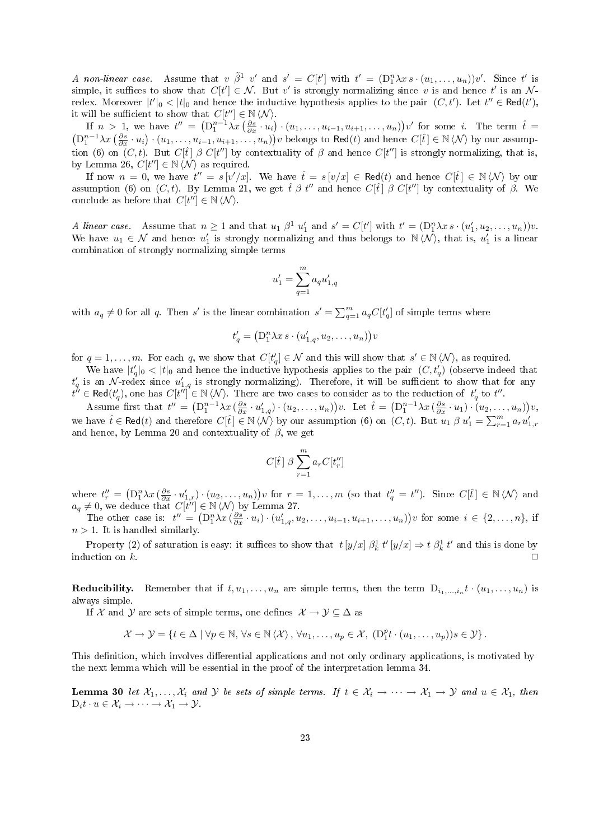A non-linear case. Assume that  $v \tilde{\beta}^1$  v' and  $s' = C[t']$  with  $t' = (D_1^n \lambda x s \cdot (u_1, \ldots, u_n))v'$ . Since t' is simple, it suffices to show that  $C[t'] \in \mathcal{N}$ . But v' is strongly normalizing since v is and hence t' is an N redex. Moreover  $|t'|_0 < |t|_0$  and hence the inductive hypothesis applies to the pair  $(C, t')$ . Let  $t'' \in \text{Red}(t')$ , it will be sufficient to show that  $C[t''] \in \mathbb{N} \langle \mathcal{N} \rangle$ .

If  $n > 1$ , we have  $t'' = \left( D_1^{n-1} \lambda x \left( \frac{\partial s}{\partial x} \cdot u_1 \right) \cdot (u_1, \ldots, u_{i-1}, u_{i+1}, \ldots, u_n) \right) v'$  for some i. The term  $\hat{t} =$  $(D_1^{n-1}\lambda x\left(\frac{\partial s}{\partial x}\cdot u_i\right)\cdot (u_1,\ldots,u_{i-1},u_{i+1},\ldots,u_n))v$  belongs to Red(t) and hence  $C[\hat{t}] \in \mathbb{N} \langle \mathcal{N} \rangle$  by our assumption (6) on  $(C, t)$ . But  $C[\hat{t}] \beta C[t'']$  by contextuality of  $\beta$  and hence  $C[t'']$  is strongly normalizing, that is, by Lemma 26,  $C[t''] \in \mathbb{N} \langle \mathcal{N} \rangle$  as required.

If now  $n = 0$ , we have  $t'' = s[v'/x]$ . We have  $\hat{t} = s[v/x] \in \text{Red}(t)$  and hence  $C[\hat{t}] \in \mathbb{N} \langle \mathcal{N} \rangle$  by our assumption (6) on  $(C, t)$ . By Lemma 21, we get  $\hat{t} \beta t''$  and hence  $C[\hat{t}] \beta C[t'']$  by contextuality of  $\beta$ . We conclude as before that  $C[t''] \in \mathbb{N} \langle \mathcal{N} \rangle$ .

A linear case. Assume that  $n \geq 1$  and that  $u_1 \beta^1 u_1'$  and  $s' = C[t']$  with  $t' = (D_1^n \lambda x s \cdot (u_1', u_2, \dots, u_n))v$ . We have  $u_1 \in \mathcal{N}$  and hence  $u'_1$  is strongly normalizing and thus belongs to  $N(\mathcal{N})$ , that is,  $u'_1$  is a linear combination of strongly normalizing simple terms

$$
u_1' = \sum_{q=1}^m a_q u_{1,q}'
$$

with  $a_q \neq 0$  for all q. Then s' is the linear combination  $s' = \sum_{q=1}^m a_q C[t'_q]$  of simple terms where

$$
t'_q = (\mathbf{D}_1^n \lambda x \, s \cdot (u'_{1,q}, u_2, \dots, u_n)) v
$$

for  $q = 1, \ldots, m$ . For each q, we show that  $C[t'_q] \in \mathcal{N}$  and this will show that  $s' \in \mathbb{N} \langle \mathcal{N} \rangle$ , as required.

We have  $|t'_q|_0 < |t|_0$  and hence the inductive hypothesis applies to the pair  $(C, t'_q)$  (observe indeed that  $t'_q$  is an N-redex since  $u'_{1,q}$  is strongly normalizing). Therefore, it will be sufficient to show that for any  $t'' \in \text{Red}(t'_q)$ , one has  $C[t''] \in \mathbb{N} \langle \mathcal{N} \rangle$ . There are two cases to consider as to the reduction of  $t'_q$  to  $t''$ .

Assume first that  $t'' = (\mathbf{D}_1^{n-1}\lambda x \left(\frac{\partial s}{\partial x} \cdot u'_{1,q}\right) \cdot (u_2, \ldots, u_n))v$ . Let  $\hat{t} = (\mathbf{D}_1^{n-1}\lambda x \left(\frac{\partial s}{\partial x} \cdot u_1\right) \cdot (u_2, \ldots, u_n))v$ , we have  $\hat{t} \in \text{Red}(t)$  and therefore  $C[\hat{t}] \in \mathbb{N} \langle \hat{\mathcal{N}} \rangle$  by our assumption (6) on  $(C, t)$ . But  $u_1 \beta u_1' = \sum_{r=1}^m a_r u_{1,r}'$ and hence, by Lemma 20 and contextuality of  $\beta$ , we get

$$
C[\hat{t}] \beta \sum_{r=1}^{m} a_r C[t_r'']
$$

where  $t_r'' = (\mathcal{D}_1^n \lambda x \left( \frac{\partial s}{\partial x} \cdot u_{1,r}' \right) \cdot (u_2, \ldots, u_n)) v$  for  $r = 1, \ldots, m$  (so that  $t_q'' = t''$ ). Since  $C[\hat{t}] \in \mathbb{N} \langle \mathcal{N} \rangle$  and  $a_q \neq 0$ , we deduce that  $C[t''] \in N \langle N \rangle$  by Lemma 27.

The other case is:  $t'' = (D_1^n \lambda x \left( \frac{\partial s}{\partial x} \cdot u_i \right) \cdot (u'_{1,q}, u_2, \dots, u_{i-1}, u_{i+1}, \dots, u_n)) v$  for some  $i \in \{2, \dots, n\}$ , if  $n > 1$ . It is handled similarly.

Property (2) of saturation is easy: it suffices to show that  $t[y/x] \beta_k^1 t'[y/x] \Rightarrow t \beta_k^1 t'$  and this is done by induction on k.  $\Box$ 

**Reducibility.** Remember that if  $t, u_1, \ldots, u_n$  are simple terms, then the term  $D_{i_1,\ldots,i_n}t \cdot (u_1,\ldots,u_n)$  is always simple.

If X and Y are sets of simple terms, one defines  $\mathcal{X} \to \mathcal{Y} \subseteq \Delta$  as

$$
\mathcal{X} \to \mathcal{Y} = \{ t \in \Delta \mid \forall p \in \mathbb{N}, \forall s \in \mathbb{N} \langle \mathcal{X} \rangle, \forall u_1, \dots, u_p \in \mathcal{X}, (D_1^p t \cdot (u_1, \dots, u_p))s \in \mathcal{Y} \}.
$$

This definition, which involves differential applications and not only ordinary applications, is motivated by the next lemma which will be essential in the proof of the interpretation lemma 34.

**Lemma 30** let  $X_1, \ldots, X_i$  and Y be sets of simple terms. If  $t \in X_i \to \cdots \to X_1 \to Y$  and  $u \in X_1$ , then  $D_i t \cdot u \in \mathcal{X}_i \to \cdots \to \mathcal{X}_1 \to \mathcal{Y}.$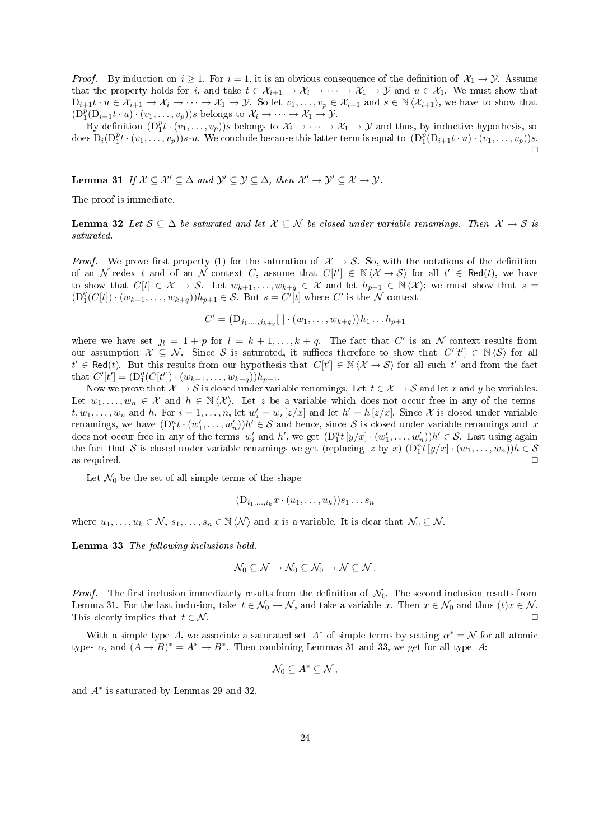*Proof.* By induction on  $i \ge 1$ . For  $i = 1$ , it is an obvious consequence of the definition of  $\mathcal{X}_1 \to \mathcal{Y}$ . Assume that the property holds for i, and take  $t \in \mathcal{X}_{i+1} \to \mathcal{X}_i \to \cdots \to \mathcal{X}_1 \to \mathcal{Y}$  and  $u \in \mathcal{X}_1$ . We must show that  $D_{i+1}t \cdot u \in \mathcal{X}_{i+1} \to \mathcal{X}_i \to \cdots \to \mathcal{X}_1 \to \mathcal{Y}$ . So let  $v_1, \ldots, v_p \in \mathcal{X}_{i+1}$  and  $s \in \mathbb{N} \langle \mathcal{X}_{i+1} \rangle$ , we have to show that  $(D_1^p(D_{i+1}t\cdot u)\cdot(v_1,\ldots,v_p))s$  belongs to  $\mathcal{X}_i\to\cdots\to\mathcal{X}_1\to\mathcal{Y}$ .

By definition  $(D_1^p t \cdot (v_1, \ldots, v_p))s$  belongs to  $\mathcal{X}_i \to \cdots \to \mathcal{X}_1 \to \mathcal{Y}$  and thus, by inductive hypothesis, so  $\text{does } D_i(D_1^pt\cdot(v_1,\ldots,v_p))s\cdot u. \text{ We conclude because this latter term is equal to } (D_1^p(D_{i+1}t\cdot u)\cdot(v_1,\ldots,v_p))s.$  $\Box$ 

Lemma 31 If  $X \subseteq \mathcal{X}' \subseteq \Delta$  and  $\mathcal{Y}' \subseteq \mathcal{Y} \subseteq \Delta$ , then  $\mathcal{X}' \to \mathcal{Y}' \subseteq \mathcal{X} \to \mathcal{Y}$ .

The proof is immediate.

**Lemma 32** Let  $S \subseteq \Delta$  be saturated and let  $X \subseteq \mathcal{N}$  be closed under variable renamings. Then  $X \to S$  is saturated.

*Proof.* We prove first property (1) for the saturation of  $\mathcal{X} \to \mathcal{S}$ . So, with the notations of the definition of an N-redex t and of an N-context C, assume that  $C[t'] \in \mathbb{N} \langle X \to S \rangle$  for all  $t' \in \text{Red}(t)$ , we have to show that  $C[t] \in \mathcal{X} \to \mathcal{S}$ . Let  $w_{k+1}, \ldots, w_{k+q} \in \mathcal{X}$  and let  $h_{p+1} \in \mathbb{N} \langle \mathcal{X} \rangle$ ; we must show that  $s =$  $(D_1^q(C[t]) \cdot (w_{k+1}, \ldots, w_{k+q}))h_{p+1} \in \mathcal{S}$ . But  $s = C'[t]$  where C' is the N-context

$$
C' = (D_{j_1,...,j_{k+q}}[~] \cdot (w_1,...,w_{k+q}))h_1...h_{p+1}
$$

where we have set  $j_l = 1 + p$  for  $l = k + 1, ..., k + q$ . The fact that C' is an N-context results from our assumption  $\mathcal{X} \subseteq \mathcal{N}$ . Since S is saturated, it suffices therefore to show that  $C'[t'] \in \mathbb{N} \langle \mathcal{S} \rangle$  for all  $t' \in \text{Red}(t)$ . But this results from our hypothesis that  $C[t'] \in \mathbb{N} \langle X \to S \rangle$  for all such  $t'$  and from the fact that  $C'[t'] = (D_1^q(C[t']) \cdot (w_{k+1}, \ldots, w_{k+q}))h_{p+1}.$ 

Now we prove that  $\mathcal{X} \to \mathcal{S}$  is closed under variable renamings. Let  $t \in \mathcal{X} \to \mathcal{S}$  and let x and y be variables. Let  $w_1, \ldots, w_n \in \mathcal{X}$  and  $h \in \mathbb{N} \langle \mathcal{X} \rangle$ . Let z be a variable which does not occur free in any of the terms  $t, w_1, \ldots, w_n$  and h. For  $i = 1, \ldots, n$ , let  $w'_i = w_i \left[ z/x \right]$  and let  $h' = h \left[ z/x \right]$ . Since X is closed under variable renamings, we have  $(D_1^n t \cdot (w_1', \ldots, w_n'))h' \in \mathcal{S}$  and hence, since  $\mathcal{S}$  is closed under variable renamings and x does not occur free in any of the terms  $w'_i$  and h', we get  $(D_1^n t[y/x] \cdot (w'_1, \ldots, w'_n))h' \in \mathcal{S}$ . Last using again the fact that S is closed under variable renamings we get (replacing z by x)  $(D_1^n t [y/x] \cdot (w_1, \ldots, w_n)) h \in S$ as required.  $\Box$ 

Let  $\mathcal{N}_0$  be the set of all simple terms of the shape

$$
(\mathbf{D}_{i_1,\ldots,i_k}x\cdot (u_1,\ldots,u_k))s_1\ldots s_n
$$

where  $u_1, \ldots, u_k \in \mathcal{N}, s_1, \ldots, s_n \in \mathbb{N} \langle \mathcal{N} \rangle$  and x is a variable. It is clear that  $\mathcal{N}_0 \subseteq \mathcal{N}$ .

Lemma 33 The following inclusions hold.

$$
\mathcal{N}_0\subseteq\mathcal{N}\to\mathcal{N}_0\subseteq\mathcal{N}_0\to\mathcal{N}\subseteq\mathcal{N}.
$$

*Proof.* The first inclusion immediately results from the definition of  $\mathcal{N}_0$ . The second inclusion results from Lemma 31. For the last inclusion, take  $t \in \mathcal{N}_0 \to \mathcal{N}$ , and take a variable x. Then  $x \in \mathcal{N}_0$  and thus  $(t)x \in \mathcal{N}$ . This clearly implies that  $t \in \mathcal{N}$ .

With a simple type A, we associate a saturated set  $A^*$  of simple terms by setting  $\alpha^* = \mathcal{N}$  for all atomic types  $\alpha$ , and  $(A \rightarrow B)^* = A^* \rightarrow B^*$ . Then combining Lemmas 31 and 33, we get for all type A:

$$
\mathcal{N}_0\subseteq A^*\subseteq \mathcal{N}\,,
$$

and A<sup>∗</sup> is saturated by Lemmas 29 and 32.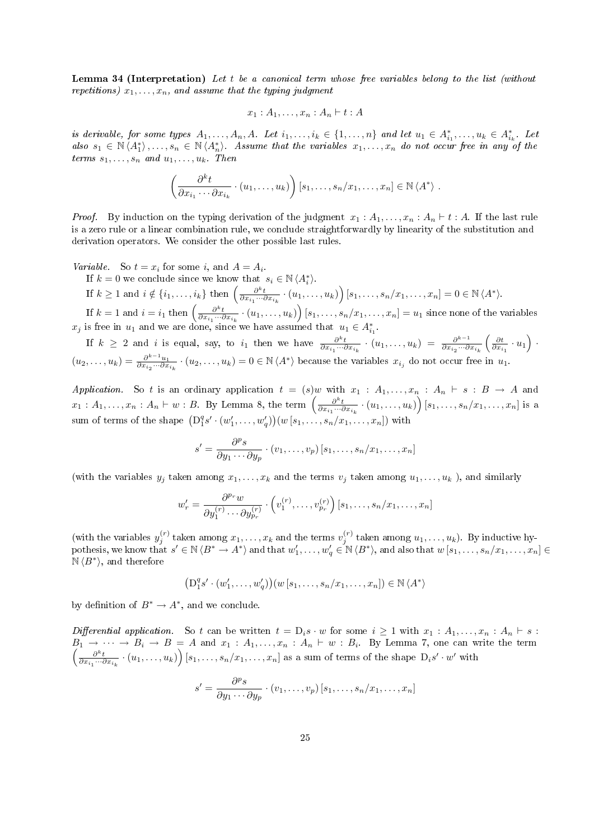Lemma 34 (Interpretation) Let t be a canonical term whose free variables belong to the list (without repetitions)  $x_1, \ldots, x_n$ , and assume that the typing judgment

$$
x_1:A_1,\ldots,x_n:A_n\vdash t:A
$$

is derivable, for some types  $A_1, \ldots, A_n, A$ . Let  $i_1, \ldots, i_k \in \{1, \ldots, n\}$  and let  $u_1 \in A_{i_1}^*, \ldots, u_k \in A_{i_k}^*$ . Let also  $s_1 \in \mathbb{N} \langle A_1^* \rangle, \ldots, s_n \in \mathbb{N} \langle A_n^* \rangle$ . Assume that the variables  $x_1, \ldots, x_n$  do not occur free in any of the terms  $s_1, \ldots, s_n$  and  $u_1, \ldots, u_k$ . Then

$$
\left(\frac{\partial^k t}{\partial x_{i_1}\cdots\partial x_{i_k}}\cdot (u_1,\ldots,u_k)\right)[s_1,\ldots,s_n/x_1,\ldots,x_n]\in \mathbb{N} \langle A^*\rangle.
$$

*Proof.* By induction on the typing derivation of the judgment  $x_1 : A_1, \ldots, x_n : A_n \vdash t : A$ . If the last rule is a zero rule or a linear combination rule, we conclude straightforwardly by linearity of the substitution and derivation operators. We consider the other possible last rules.

Variable. So  $t = x_i$  for some i, and  $A = A_i$ .

If  $k = 0$  we conclude since we know that  $s_i \in \mathbb{N} \langle A_i^* \rangle$ . If  $k \geq 1$  and  $i \notin \{i_1, \ldots, i_k\}$  then  $\left(\frac{\partial^k t}{\partial x_{i_1} \cdots \partial x_{i_k}} \cdot (u_1, \ldots, u_k)\right) [s_1, \ldots, s_n/x_1, \ldots, x_n] = 0 \in \mathbb{N} \langle A^* \rangle$ . If  $k = 1$  and  $i = i_1$  then  $\left(\frac{\partial^k t}{\partial x_{i_1} \cdots \partial x_{i_k}} \cdot (u_1, \ldots, u_k)\right) [s_1, \ldots, s_n/x_1, \ldots, x_n] = u_1$  since none of the variables

 $x_j$  is free in  $u_1$  and we are done, since we have assumed that  $u_1 \in A_{i_1}^*$ . If  $k \geq 2$  and i is equal, say, to i<sub>1</sub> then we have  $\frac{\partial^k t}{\partial x_{i_1} \cdots \partial x_{i_k}} \cdot (u_1, \ldots, u_k) = \frac{\partial^{k-1}}{\partial x_{i_2} \cdots \partial x_{i_k}}$  $\frac{\partial^{k-1}}{\partial x_{i_2}\cdots\partial x_{i_k}}\left(\frac{\partial t}{\partial x_{i_1}}\cdot u_1\right)\cdot$  $(u_2,\ldots,u_k)=\frac{\partial^{k-1}u_1}{\partial x_i\ldots\partial x_k}$  $\frac{\partial^{k-1} u_1}{\partial x_{i_2} \cdots \partial x_{i_k}} \cdot (u_2, \ldots, u_k) = 0 \in \mathbb{N} \langle A^* \rangle$  because the variables  $x_{i_j}$  do not occur free in  $u_1$ .

Application. So t is an ordinary application  $t = (s)w$  with  $x_1 : A_1, \ldots, x_n : A_n \vdash s : B \rightarrow A$  and  $x_1:A_1,\ldots,x_n:A_n\vdash w:B.$  By Lemma 8, the term  $\left(\frac{\partial^k t}{\partial x_{i_1}\cdots\partial x_{i_k}}\cdot (u_1,\ldots,u_k)\right)[s_1,\ldots,s_n/x_1,\ldots,x_n]$  is a sum of terms of the shape  $(D_1^q s' \cdot (w_1', \ldots, w_q'))(w [s_1, \ldots, s_n/x_1, \ldots, x_n])$  with

$$
s' = \frac{\partial^p s}{\partial y_1 \cdots \partial y_p} \cdot (v_1, \ldots, v_p) [s_1, \ldots, s_n/x_1, \ldots, x_n]
$$

(with the variables  $y_j$  taken among  $x_1, \ldots, x_k$  and the terms  $v_j$  taken among  $u_1, \ldots, u_k$  ), and similarly

$$
w'_{r} = \frac{\partial^{p_r} w}{\partial y_1^{(r)} \cdots \partial y_{p_r}^{(r)}} \cdot \left( v_1^{(r)}, \ldots, v_{p_r}^{(r)} \right) [s_1, \ldots, s_n/x_1, \ldots, x_n]
$$

(with the variables  $y_j^{(r)}$  taken among  $x_1, \ldots, x_k$  and the terms  $v_j^{(r)}$  taken among  $u_1, \ldots, u_k$ ). By inductive hypothesis, we know that  $s' \in \mathbb{N} \langle B^* \to A^* \rangle$  and that  $w'_1, \ldots, w'_q \in \mathbb{N} \langle B^* \rangle$ , and also that  $w[s_1, \ldots, s_n/x_1, \ldots, x_n] \in$  $\mathbb{N} \langle B^* \rangle$ , and therefore

$$
(D_1^q s' \cdot (w_1', \ldots, w_q')) (w [s_1, \ldots, s_n/x_1, \ldots, x_n]) \in \mathbb{N} \langle A^* \rangle
$$

by definition of  $B^* \to A^*$ , and we conclude.

Differential application. So t can be written  $t = D_i s \cdot w$  for some  $i \ge 1$  with  $x_1 : A_1, \ldots, x_n : A_n \vdash s$ :  $B_1 \rightarrow \cdots \rightarrow B_i \rightarrow B = A$  and  $x_1 : A_1, \ldots, x_n : A_n \vdash w : B_i$  $\sqrt{ }$ . By Lemma 7, one can write the term  $\frac{\partial^k t}{\partial x_{i_1}\cdots\partial x_{i_k}}\cdot (u_1,\ldots,u_k)\Big)\left[s_1,\ldots,s_n/x_1,\ldots,x_n\right]$  as a sum of terms of the shape  $D_is'\cdot w'$  with

$$
s' = \frac{\partial^p s}{\partial y_1 \cdots \partial y_p} \cdot (v_1, \ldots, v_p) [s_1, \ldots, s_n/x_1, \ldots, x_n]
$$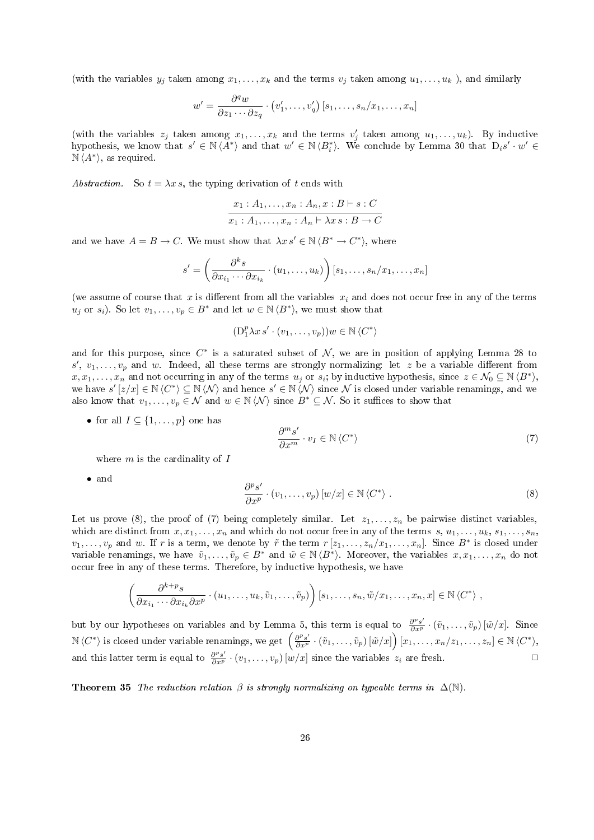(with the variables  $y_i$  taken among  $x_1, \ldots, x_k$  and the terms  $v_i$  taken among  $u_1, \ldots, u_k$ ), and similarly

$$
w' = \frac{\partial^q w}{\partial z_1 \cdots \partial z_q} \cdot (v'_1, \ldots, v'_q) [s_1, \ldots, s_n/x_1, \ldots, x_n]
$$

(with the variables  $z_j$  taken among  $x_1, \ldots, x_k$  and the terms  $v'_j$  taken among  $u_1, \ldots, u_k$ ). By inductive hypothesis, we know that  $s' \in \mathbb{N} \langle A^* \rangle$  and that  $w' \in \mathbb{N} \langle B_i^* \rangle$ . We conclude by Lemma 30 that  $D_i s' \cdot w' \in$  $\overline{\mathbb{N} \langle A^* \rangle}$ , as required.

Abstraction. So  $t = \lambda x s$ , the typing derivation of t ends with

$$
\frac{x_1 : A_1, \dots, x_n : A_n, x : B \vdash s : C}{x_1 : A_1, \dots, x_n : A_n \vdash \lambda x s : B \to C}
$$

and we have  $A = B \to C$ . We must show that  $\lambda x s' \in \mathbb{N} \langle B^* \to C^* \rangle$ , where

$$
s' = \left(\frac{\partial^k s}{\partial x_{i_1} \cdots \partial x_{i_k}} \cdot (u_1, \ldots, u_k)\right) [s_1, \ldots, s_n/x_1, \ldots, x_n]
$$

(we assume of course that x is different from all the variables  $x_i$  and does not occur free in any of the terms  $u_j$  or  $s_i$ ). So let  $v_1, \ldots, v_p \in B^*$  and let  $w \in \mathbb{N} \langle B^* \rangle$ , we must show that

$$
(\mathcal{D}_1^p \lambda x s' \cdot (v_1, \dots, v_p)) w \in \mathbb{N} \langle C^* \rangle
$$

and for this purpose, since  $C^*$  is a saturated subset of N, we are in position of applying Lemma 28 to  $s', v_1, \ldots, v_p$  and w. Indeed, all these terms are strongly normalizing: let z be a variable different from  $x, x_1, \ldots, x_n$  and not occurring in any of the terms  $u_j$  or  $s_i$ ; by inductive hypothesis, since  $z \in \mathcal{N}_0 \subseteq \mathbb{N} \langle B^* \rangle$ , we have  $s'[z/x] \in \mathbb{N} \langle C^* \rangle \subseteq \mathbb{N} \langle \mathcal{N} \rangle$  and hence  $s' \in \mathbb{N} \langle \mathcal{N} \rangle$  since N is closed under variable renamings, and we also know that  $v_1, \ldots, v_p \in \mathcal{N}$  and  $w \in \mathbb{N} \langle \mathcal{N} \rangle$  since  $B^* \subseteq \mathcal{N}$ . So it suffices to show that

• for all  $I \subseteq \{1, \ldots, p\}$  one has

$$
\frac{\partial^m s'}{\partial x^m} \cdot v_I \in \mathbb{N} \left\langle C^* \right\rangle \tag{7}
$$

where  $m$  is the cardinality of  $I$ 

• and

$$
\frac{\partial^p s'}{\partial x^p} \cdot (v_1, \dots, v_p) \left[ w/x \right] \in \mathbb{N} \left\langle C^* \right\rangle . \tag{8}
$$

Let us prove (8), the proof of (7) being completely similar. Let  $z_1, \ldots, z_n$  be pairwise distinct variables, which are distinct from  $x, x_1, \ldots, x_n$  and which do not occur free in any of the terms  $s, u_1, \ldots, u_k, s_1, \ldots, s_n$ ,  $v_1, \ldots, v_p$  and w. If r is a term, we denote by  $\tilde{r}$  the term  $r[z_1, \ldots, z_n/x_1, \ldots, x_n]$ . Since  $B^*$  is closed under variable renamings, we have  $\tilde{v}_1, \ldots, \tilde{v}_p \in B^*$  and  $\tilde{w} \in \mathbb{N} \langle B^* \rangle$ . Moreover, the variables  $x, x_1, \ldots, x_n$  do not occur free in any of these terms. Therefore, by inductive hypothesis, we have

$$
\left(\frac{\partial^{k+p} s}{\partial x_{i_1}\cdots \partial x_{i_k}\partial x^p}\cdot (u_1,\ldots,u_k,\tilde{v}_1,\ldots,\tilde{v}_p)\right)[s_1,\ldots,s_n,\tilde{w}/x_1,\ldots,x_n,x]\in \mathbb{N} \langle C^*\rangle,
$$

but by our hypotheses on variables and by Lemma 5, this term is equal to  $\frac{\partial^p s'}{\partial x^p} \cdot (\tilde{v}_1, \ldots, \tilde{v}_p) [\tilde{w}/x]$ . Since  $\mathbb{N} \langle C^* \rangle$  is closed under variable renamings, we get  $\left( \frac{\partial^p s'}{\partial x^p} \cdot (\tilde{v}_1, \dots, \tilde{v}_p) [\tilde{w}/x] \right) [x_1, \dots, x_n/z_1, \dots, z_n] \in \mathbb{N} \langle C^* \rangle$ , and this latter term is equal to  $\frac{\partial^p s'}{\partial x^p} \cdot (v_1, \ldots, v_p) \cdot [w/x]$  since the variables  $z_i$  are fresh.

**Theorem 35** The reduction relation  $\beta$  is strongly normalizing on typeable terms in  $\Delta(N)$ .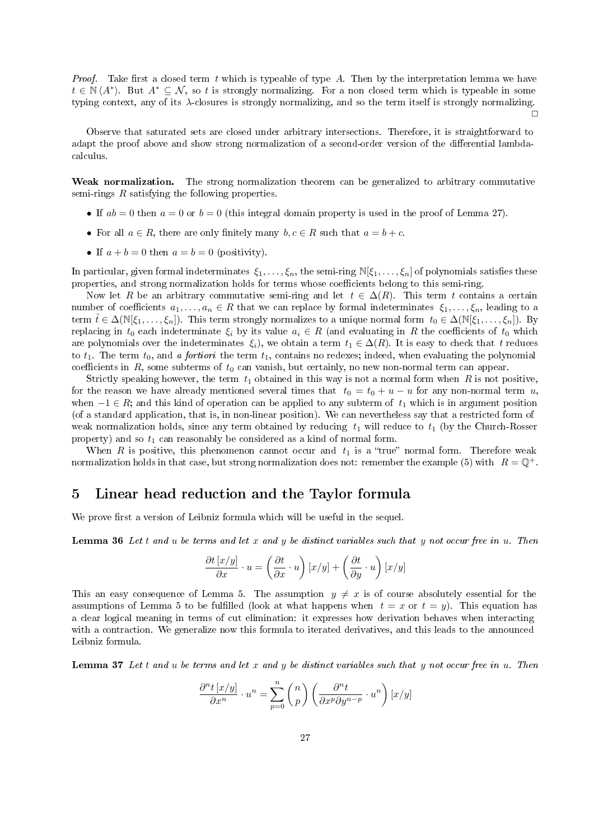*Proof.* Take first a closed term t which is typeable of type A. Then by the interpretation lemma we have  $t \in \mathbb{N} \langle A^* \rangle$ . But  $A^* \subseteq \mathcal{N}$ , so t is strongly normalizing. For a non closed term which is typeable in some typing context, any of its λ-closures is strongly normalizing, and so the term itself is strongly normalizing.

 $\Box$ 

Observe that saturated sets are closed under arbitrary intersections. Therefore, it is straightforward to adapt the proof above and show strong normalization of a second-order version of the differential lambdacalculus.

Weak normalization. The strong normalization theorem can be generalized to arbitrary commutative semi-rings  $R$  satisfying the following properties.

- If  $ab = 0$  then  $a = 0$  or  $b = 0$  (this integral domain property is used in the proof of Lemma 27).
- For all  $a \in R$ , there are only finitely many  $b, c \in R$  such that  $a = b + c$ .
- If  $a + b = 0$  then  $a = b = 0$  (positivity).

In particular, given formal indeterminates  $\xi_1,\ldots,\xi_n$ , the semi-ring  $\mathbb{N}[\xi_1,\ldots,\xi_n]$  of polynomials satisfies these properties, and strong normalization holds for terms whose coefficients belong to this semi-ring.

Now let R be an arbitrary commutative semi-ring and let  $t \in \Delta(R)$ . This term t contains a certain number of coefficients  $a_1, \ldots, a_n \in R$  that we can replace by formal indeterminates  $\xi_1, \ldots, \xi_n$ , leading to a term  $\hat{t} \in \Delta(\mathbb{N}[\xi_1,\ldots,\xi_n])$ . This term strongly normalizes to a unique normal form  $t_0 \in \Delta(\mathbb{N}[\xi_1,\ldots,\xi_n])$ . By replacing in  $t_0$  each indeterminate  $\xi_i$  by its value  $a_i \in R$  (and evaluating in R the coefficients of  $t_0$  which are polynomials over the indeterminates  $\xi_i$ , we obtain a term  $t_1 \in \Delta(R)$ . It is easy to check that t reduces to  $t_1$ . The term  $t_0$ , and a fortiori the term  $t_1$ , contains no redexes; indeed, when evaluating the polynomial coefficients in  $R$ , some subterms of  $t_0$  can vanish, but certainly, no new non-normal term can appear.

Strictly speaking however, the term  $t_1$  obtained in this way is not a normal form when  $R$  is not positive, for the reason we have already mentioned several times that  $t_0 = t_0 + u - u$  for any non-normal term u, when  $-1 \in R$ ; and this kind of operation can be applied to any subterm of  $t_1$  which is in argument position (of a standard application, that is, in non-linear position). We can nevertheless say that a restricted form of weak normalization holds, since any term obtained by reducing  $t_1$  will reduce to  $t_1$  (by the Church-Rosser property) and so  $t_1$  can reasonably be considered as a kind of normal form.

When R is positive, this phenomenon cannot occur and  $t_1$  is a "true" normal form. Therefore weak normalization holds in that case, but strong normalization does not: remember the example (5) with  $R = \mathbb{Q}^+$ .

### 5 Linear head reduction and the Taylor formula

We prove first a version of Leibniz formula which will be useful in the sequel.

**Lemma 36** Let t and u be terms and let x and y be distinct variables such that y not occur free in  $u$ . Then

$$
\frac{\partial t \left[ {x/y} \right]}{\partial x} \cdot u = \left( {\frac{\partial t}{\partial x} \cdot u} \right)\left[ {x/y} \right] + \left( {\frac{\partial t}{\partial y} \cdot u} \right)\left[ {x/y} \right]
$$

This an easy consequence of Lemma 5. The assumption  $y \neq x$  is of course absolutely essential for the assumptions of Lemma 5 to be fulfilled (look at what happens when  $t = x$  or  $t = y$ ). This equation has a clear logical meaning in terms of cut elimination: it expresses how derivation behaves when interacting with a contraction. We generalize now this formula to iterated derivatives, and this leads to the announced Leibniz formula.

Lemma 37 Let t and u be terms and let x and y be distinct variables such that y not occur free in u. Then

$$
\frac{\partial^n t\left[x/y\right]}{\partial x^n} \cdot u^n = \sum_{p=0}^n \binom{n}{p} \left(\frac{\partial^n t}{\partial x^p \partial y^{n-p}} \cdot u^n\right) \left[x/y\right]
$$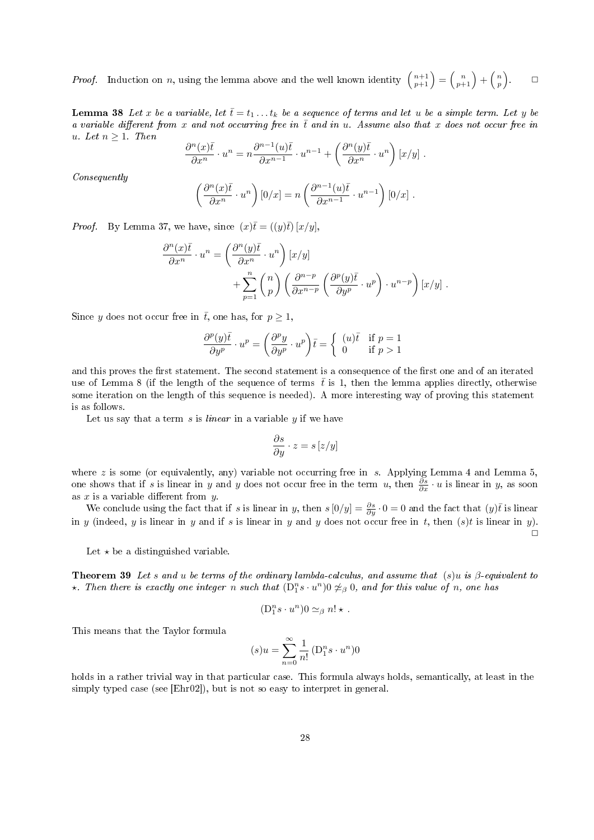*Proof.* Induction on n, using the lemma above and the well known identity  $\binom{n+1}{p+1} = \binom{n}{p+1} + \binom{n}{p}$  $\Box$ 

**Lemma 38** Let x be a variable, let  $\bar{t} = t_1 \ldots t_k$  be a sequence of terms and let u be a simple term. Let y be a variable different from x and not occurring free in  $\bar{t}$  and in u. Assume also that x does not occur free in u. Let  $n \geq 1$ . Then

$$
\frac{\partial^n(x)\overline{t}}{\partial x^n} \cdot u^n = n \frac{\partial^{n-1}(u)\overline{t}}{\partial x^{n-1}} \cdot u^{n-1} + \left(\frac{\partial^n(y)\overline{t}}{\partial x^n} \cdot u^n\right)[x/y] .
$$

Consequently

$$
\left(\frac{\partial^n(x)\overline{t}}{\partial x^n} \cdot u^n\right)[0/x] = n\left(\frac{\partial^{n-1}(u)\overline{t}}{\partial x^{n-1}} \cdot u^{n-1}\right)[0/x].
$$

*Proof.* By Lemma 37, we have, since  $(x)\overline{t} = ((y)\overline{t}) [x/y]$ .

$$
\frac{\partial^n(x)\overline{t}}{\partial x^n} \cdot u^n = \left(\frac{\partial^n(y)\overline{t}}{\partial x^n} \cdot u^n\right) [x/y] \n+ \sum_{p=1}^n {n \choose p} \left(\frac{\partial^{n-p}}{\partial x^{n-p}} \left(\frac{\partial^p(y)\overline{t}}{\partial y^p} \cdot u^p\right) \cdot u^{n-p}\right) [x/y].
$$

Since y does not occur free in  $\bar{t}$ , one has, for  $p \geq 1$ ,

$$
\frac{\partial^p(y)\bar{t}}{\partial y^p} \cdot u^p = \left(\frac{\partial^p y}{\partial y^p} \cdot u^p\right)\bar{t} = \begin{cases} (u)\bar{t} & \text{if } p = 1\\ 0 & \text{if } p > 1 \end{cases}
$$

and this proves the first statement. The second statement is a consequence of the first one and of an iterated use of Lemma 8 (if the length of the sequence of terms  $\bar{t}$  is 1, then the lemma applies directly, otherwise some iteration on the length of this sequence is needed). A more interesting way of proving this statement is as follows.

Let us say that a term  $s$  is *linear* in a variable  $y$  if we have

$$
\frac{\partial s}{\partial y} \cdot z = s\left[z/y\right]
$$

where z is some (or equivalently, any) variable not occurring free in s. Applying Lemma 4 and Lemma  $5$ , one shows that if s is linear in y and y does not occur free in the term u, then  $\frac{\partial s}{\partial x} \cdot u$  is linear in y, as soon as  $x$  is a variable different from  $y$ .

We conclude using the fact that if s is linear in y, then  $s[0/y] = \frac{\partial s}{\partial y} \cdot 0 = 0$  and the fact that  $(y)\overline{t}$  is linear in y (indeed, y is linear in y and if s is linear in y and y does not occur free in t, then  $(s)t$  is linear in y).  $\Box$ 

Let  $\star$  be a distinguished variable.

**Theorem 39** Let s and u be terms of the ordinary lambda-calculus, and assume that  $(s)u$  is  $\beta$ -equivalent to  $\star$ . Then there is exactly one integer n such that  $(D_1^n s \cdot u^n)$   $\neq_\beta 0$ , and for this value of n, one has

$$
(\mathbf{D}_{1}^{n}s\cdot u^{n})0\simeq_{\beta} n!\star.
$$

This means that the Taylor formula

$$
(s)u = \sum_{n=0}^{\infty} \frac{1}{n!} \left( D_1^n s \cdot u^n \right) 0
$$

holds in a rather trivial way in that particular case. This formula always holds, semantically, at least in the simply typed case (see [Ehr02]), but is not so easy to interpret in general.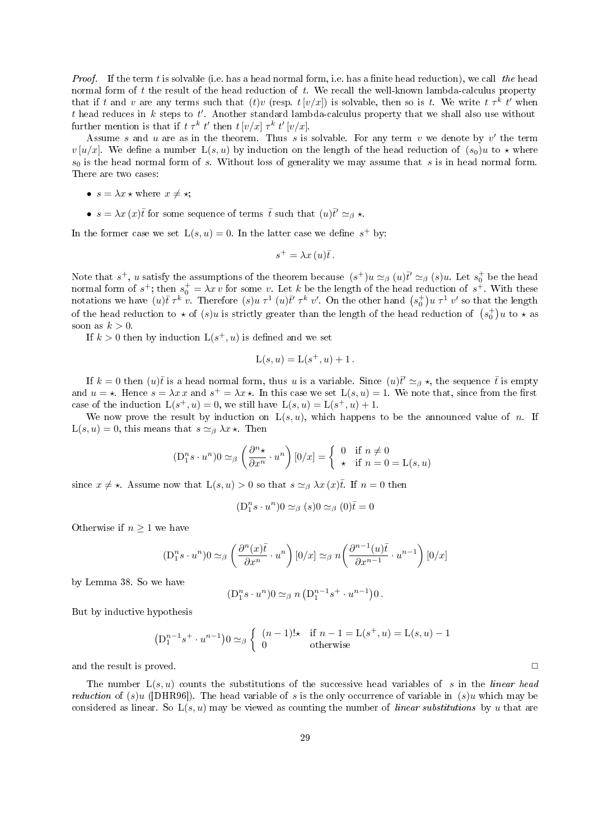*Proof.* If the term t is solvable (i.e. has a head normal form, i.e. has a finite head reduction), we call the head normal form of  $t$  the result of the head reduction of  $t$ . We recall the well-known lambda-calculus property that if t and v are any terms such that  $(t)v$  (resp.  $t[v/x]$ ) is solvable, then so is t. We write  $t \tau^k t'$  when t head reduces in k steps to t'. Another standard lambda-calculus property that we shall also use without further mention is that if  $t \tau^k t'$  then  $t [v/x] \tau^k t' [v/x]$ .

Assume s and u are as in the theorem. Thus s is solvable. For any term v we denote by v' the term  $v[u/x]$ . We define a number  $L(s, u)$  by induction on the length of the head reduction of  $(s_0)u$  to  $\star$  where  $s_0$  is the head normal form of s. Without loss of generality we may assume that s is in head normal form. There are two cases:

- $s = \lambda x \star$  where  $x \neq \star$ ;
- $s = \lambda x (x) \bar{t}$  for some sequence of terms  $\bar{t}$  such that  $(u)\bar{t}' \simeq_{\beta} \star$ .

In the former case we set  $L(s, u) = 0$ . In the latter case we define  $s^+$  by:

$$
s^+ = \lambda x(u)\overline{t}.
$$

Note that  $s^+$ , u satisfy the assumptions of the theorem because  $(s^+)u \simeq_\beta (u)\bar{t}' \simeq_\beta (s)u$ . Let  $s_0^+$  be the head normal form of  $s^+$ ; then  $s_0^+ = \lambda x v$  for some v. Let k be the length of the head reduction of  $s^+$ . With these notations we have  $(u)\bar{t} \tau^k v$ . Therefore  $(s)u \tau^1(u)\bar{t}' \tau^k v'$ . On the other hand  $(s_0^+)u \tau^1 v'$  so that the length of the head reduction to  $\star$  of  $(s)u$  is strictly greater than the length of the head reduction of  $(s_0^+)_u$  to  $\star$  as soon as  $k > 0$ .

If  $k > 0$  then by induction  $L(s^+, u)$  is defined and we set

$$
L(s, u) = L(s^+, u) + 1.
$$

If  $k = 0$  then  $(u)\bar{t}$  is a head normal form, thus u is a variable. Since  $(u)\bar{t}' \simeq_{\beta} \star$ , the sequence  $\bar{t}$  is empty and  $u = \star$ . Hence  $s = \lambda x \, x$  and  $s^+ = \lambda x \star$ . In this case we set  $L(s, u) = 1$ . We note that, since from the first case of the induction  $L(s^+, u) = 0$ , we still have  $L(s, u) = L(s^+, u) + 1$ .

We now prove the result by induction on  $L(s, u)$ , which happens to be the announced value of n. If  $L(s, u) = 0$ , this means that  $s \simeq_{\beta} \lambda x$  \*. Then

$$
(\mathcal{D}_1^n s \cdot u^n) \mathcal{D} \simeq_{\beta} \left(\frac{\partial^n \star}{\partial x^n} \cdot u^n\right) [0/x] = \begin{cases} 0 & \text{if } n \neq 0 \\ \star & \text{if } n = 0 = \mathcal{L}(s, u) \end{cases}
$$

since  $x \neq \star$ . Assume now that  $L(s, u) > 0$  so that  $s \simeq_{\beta} \lambda x(x) \overline{t}$ . If  $n = 0$  then

$$
(\mathcal{D}_1^n s \cdot u^n)0 \simeq_{\beta} (s)0 \simeq_{\beta} (0)\overline{t} = 0
$$

Otherwise if  $n \geq 1$  we have

$$
(\mathcal{D}_1^n s \cdot u^n) \mathcal{D} \simeq_{\beta} \left( \frac{\partial^n(x)\overline{t}}{\partial x^n} \cdot u^n \right) [0/x] \simeq_{\beta} n \left( \frac{\partial^{n-1}(u)\overline{t}}{\partial x^{n-1}} \cdot u^{n-1} \right) [0/x]
$$

by Lemma 38. So we have

$$
(\mathcal{D}_1^n s \cdot u^n) \mathbf{0} \simeq_{\beta} n \left( \mathcal{D}_1^{n-1} s^+ \cdot u^{n-1} \right) \mathbf{0}.
$$

But by inductive hypothesis

$$
(D_1^{n-1}s^+ \cdot u^{n-1})0 \simeq_\beta \begin{cases} (n-1)! \star & \text{if } n-1 = L(s^+, u) = L(s, u) - 1 \\ 0 & \text{otherwise} \end{cases}
$$

and the result is proved.  $\Box$ 

The number  $L(s, u)$  counts the substitutions of the successive head variables of s in the *linear head reduction* of  $(s)u$  ([DHR96]). The head variable of s is the only occurrence of variable in  $(s)u$  which may be considered as linear. So  $L(s, u)$  may be viewed as counting the number of *linear substitutions* by u that are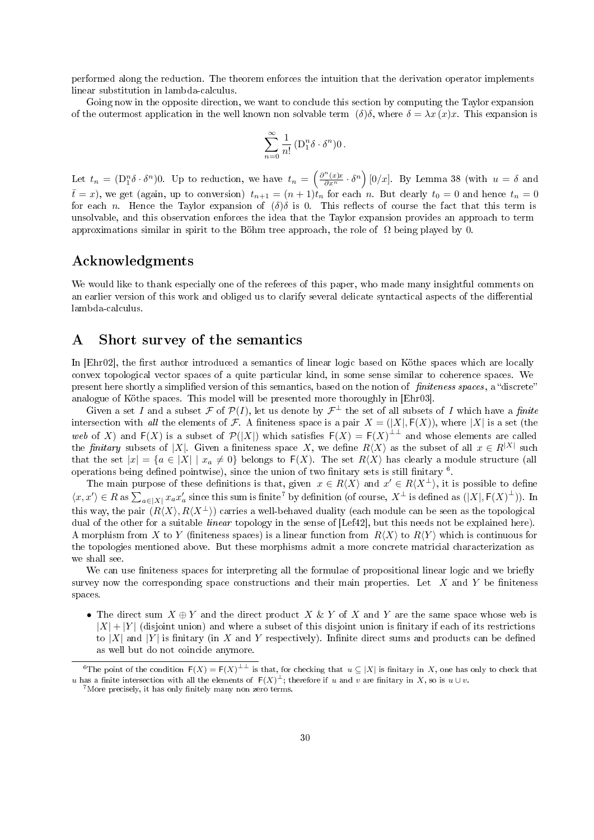performed along the reduction. The theorem enforces the intuition that the derivation operator implements linear substitution in lambda-calculus.

Going now in the opposite direction, we want to conclude this section by computing the Taylor expansion of the outermost application in the well known non solvable term  $(\delta)\delta$ , where  $\delta = \lambda x(x)x$ . This expansion is

$$
\sum_{n=0}^{\infty} \frac{1}{n!} \left( \mathcal{D}_1^n \delta \cdot \delta^n \right) 0 \, .
$$

Let  $t_n = (\mathcal{D}_1^n \delta \cdot \delta^n)$ 0. Up to reduction, we have  $t_n = \left(\frac{\partial^n(x)x}{\partial x^n} \cdot \delta^n\right) [0/x]$ . By Lemma 38 (with  $u = \delta$  and  $\bar{t}=x$ ), we get (again, up to conversion)  $t_{n+1}=(n+1)\dot{t}_n$  for each n. But clearly  $t_0=0$  and hence  $t_n=0$ for each n. Hence the Taylor expansion of  $(\delta)\delta$  is 0. This reflects of course the fact that this term is unsolvable, and this observation enforces the idea that the Taylor expansion provides an approach to term approximations similar in spirit to the Böhm tree approach, the role of  $\Omega$  being played by 0.

### Acknowledgments

We would like to thank especially one of the referees of this paper, who made many insightful comments on an earlier version of this work and obliged us to clarify several delicate syntactical aspects of the differential lambda-calculus.

### A Short survey of the semantics

In [Ehr02], the first author introduced a semantics of linear logic based on Köthe spaces which are locally convex topological vector spaces of a quite particular kind, in some sense similar to coherence spaces. We present here shortly a simplified version of this semantics, based on the notion of finiteness spaces, a "discrete" analogue of Köthe spaces. This model will be presented more thoroughly in [Ehr03].

Given a set I and a subset F of  $\mathcal{P}(I)$ , let us denote by  $\mathcal{F}^{\perp}$  the set of all subsets of I which have a finite intersection with all the elements of F. A finiteness space is a pair  $X = (X, F(X))$ , where  $|X|$  is a set (the web of X) and  $F(X)$  is a subset of  $\mathcal{P}(|X|)$  which satisfies  $F(X) = F(X)^{\perp \perp}$  and whose elements are called the finitary subsets of |X|. Given a finiteness space X, we define  $R\langle X\rangle$  as the subset of all  $x \in R^{|X|}$  such that the set  $|x| = {a \in |X| \mid x_a \neq 0}$  belongs to  $F(X)$ . The set  $R(X)$  has clearly a module structure (all operations being defined pointwise), since the union of two finitary sets is still finitary  $6$ .

The main purpose of these definitions is that, given  $x \in R\langle X \rangle$  and  $x' \in R\langle X^{\perp} \rangle$ , it is possible to define  $\langle x, x' \rangle \in R$  as  $\sum_{a \in |X|} x_a x'_a$  since this sum is finite<sup>7</sup> by definition (of course,  $X^{\perp}$  is defined as  $(|X|, F(X)^{\perp})$ ). In this way, the pair  $(R\langle X\rangle, R\langle X^{\perp}\rangle)$  carries a well-behaved duality (each module can be seen as the topological dual of the other for a suitable *linear* topology in the sense of [Lef42], but this needs not be explained here). A morphism from X to Y (finiteness spaces) is a linear function from  $R\langle X\rangle$  to  $R\langle Y\rangle$  which is continuous for the topologies mentioned above. But these morphisms admit a more concrete matricial characterization as we shall see.

We can use finiteness spaces for interpreting all the formulae of propositional linear logic and we briefly survey now the corresponding space constructions and their main properties. Let  $X$  and  $Y$  be finiteness spaces.

• The direct sum  $X \oplus Y$  and the direct product X & Y of X and Y are the same space whose web is  $|X| + |Y|$  (disjoint union) and where a subset of this disjoint union is finitary if each of its restrictions to  $|X|$  and  $|Y|$  is finitary (in X and Y respectively). Infinite direct sums and products can be defined as well but do not coincide anymore.

<sup>&</sup>lt;sup>6</sup>The point of the condition  $F(X) = F(X)^{\perp \perp}$  is that, for checking that  $u \subseteq |X|$  is finitary in X, one has only to check that u has a finite intersection with all the elements of  $F(X)^{\perp}$ ; therefore if u and v are finitary in X, so is  $u \cup v$ .

 $7$ More precisely, it has only finitely many non zero terms.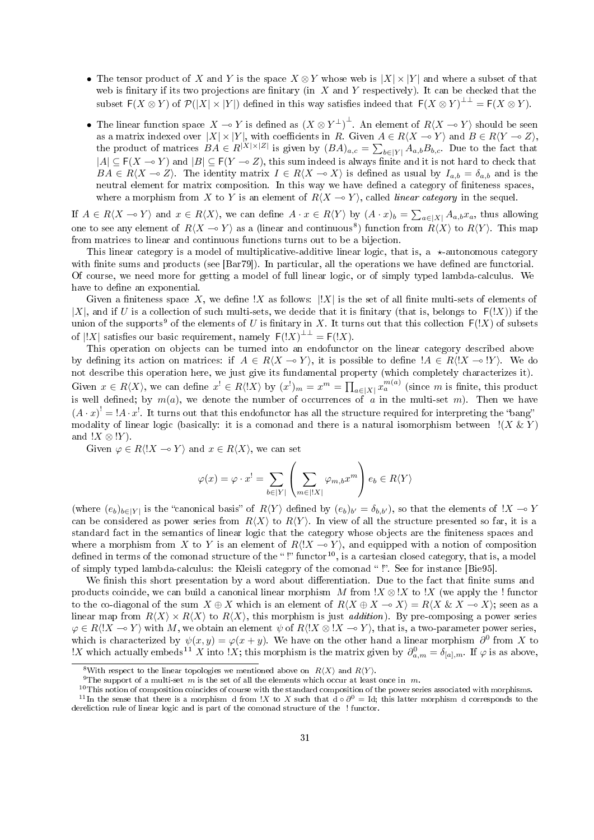- The tensor product of X and Y is the space  $X \otimes Y$  whose web is  $|X| \times |Y|$  and where a subset of that web is finitary if its two projections are finitary (in  $X$  and  $Y$  respectively). It can be checked that the subset  $F(X \otimes Y)$  of  $\mathcal{P}(|X| \times |Y|)$  defined in this way satisfies indeed that  $F(X \otimes Y)^{\perp \perp} = F(X \otimes Y)$ .
- The linear function space  $X \to Y$  is defined as  $(X \otimes Y^{\perp})^{\perp}$ . An element of  $R\langle X \to Y \rangle$  should be seen as a matrix indexed over  $|X| \times |Y|$ , with coefficients in R. Given  $A \in R\langle X \to Y \rangle$  and  $B \in R\langle Y \to Z \rangle$ , the product of matrices  $BA \in R^{|X| \times |Z|}$  is given by  $(BA)_{a,c} = \sum_{b \in |Y|} A_{a,b} B_{b,c}$ . Due to the fact that  $|A| \subseteq F(X \to Y)$  and  $|B| \subseteq F(Y \to Z)$ , this sum indeed is always finite and it is not hard to check that  $B\overline{A} \in R\langle X \to Z \rangle$ . The identity matrix  $I \in R\langle X \to X \rangle$  is defined as usual by  $I_{a,b} = \delta_{a,b}$  and is the neutral element for matrix composition. In this way we have defined a category of finiteness spaces, where a morphism from X to Y is an element of  $R\langle X \rightarrow Y \rangle$ , called *linear category* in the sequel.

If  $A \in R\langle X \to Y \rangle$  and  $x \in R\langle X \rangle$ , we can define  $A \cdot x \in R\langle Y \rangle$  by  $(A \cdot x)_b = \sum_{a \in |X|} A_{a,b} x_a$ , thus allowing one to see any element of  $R\langle X \to Y \rangle$  as a (linear and continuous<sup>8</sup>) function from  $R\langle X \rangle$  to  $R\langle Y \rangle$ . This map from matrices to linear and continuous functions turns out to be a bijection.

This linear category is a model of multiplicative-additive linear logic, that is, a  $\star$ -autonomous category with finite sums and products (see [Bar79]). In particular, all the operations we have defined are functorial. Of course, we need more for getting a model of full linear logic, or of simply typed lambda-calculus. We have to define an exponential.

Given a finiteness space X, we define !X as follows:  $||X||$  is the set of all finite multi-sets of elements of |X|, and if U is a collection of such multi-sets, we decide that it is finitary (that is, belongs to  $F(!X)$ ) if the union of the supports<sup>9</sup> of the elements of U is finitary in X. It turns out that this collection  $F(!X)$  of subsets of  $|!X|$  satisfies our basic requirement, namely  $F(!X)^{\perp\perp} = F(!X)$ .

This operation on objects can be turned into an endofunctor on the linear category described above by defining its action on matrices: if  $A \in R(X \to Y)$ , it is possible to define  $A \in R\langle X \to Y \rangle$ . We do not describe this operation here, we just give its fundamental property (which completely characterizes it). Given  $x \in R\langle X \rangle$ , we can define  $x^! \in R\langle X \rangle$  by  $(x^!)_m = x^m = \prod_{a \in |X|} x_a^{m(a)}$  (since m is finite, this product is well defined; by  $m(a)$ , we denote the number of occurrences of a in the multi-set m). Then we have  $(A \cdot x)^! = A \cdot x^!$ . It turns out that this endofunctor has all the structure required for interpreting the "bang" modality of linear logic (basically: it is a comonad and there is a natural isomorphism between  $!(X \& Y)$ and  $!X \otimes !Y$ .

Given  $\varphi \in R\langle X \rangle \to Y$  and  $x \in R\langle X \rangle$ , we can set

$$
\varphi(x) = \varphi \cdot x^! = \sum_{b \in |Y|} \left( \sum_{m \in |!X|} \varphi_{m,b} x^m \right) e_b \in R\langle Y \rangle
$$

(where  $(e_b)_{b \in |Y|}$  is the "canonical basis" of  $R\langle Y \rangle$  defined by  $(e_b)_{b'} = \delta_{b,b'}$ ), so that the elements of  $!X \to Y$ can be considered as power series from  $R\langle X\rangle$  to  $R\langle Y\rangle$ . In view of all the structure presented so far, it is a standard fact in the semantics of linear logic that the category whose objects are the finiteness spaces and where a morphism from X to Y is an element of  $R\langle X \sim Y \rangle$ , and equipped with a notion of composition defined in terms of the comonad structure of the "!" functor<sup>10</sup>, is a cartesian closed category, that is, a model of simply typed lambda-calculus: the Kleisli category of the comonad "!". See for instance [Bie95].

We finish this short presentation by a word about differentiation. Due to the fact that finite sums and products coincide, we can build a canonical linear morphism M from  $X \otimes X$  to  $X$  (we apply the ! functor to the co-diagonal of the sum  $X \oplus X$  which is an element of  $R\langle X \oplus X \setminus X \rangle = R\langle X \& X \setminus X \rangle$ ; seen as a linear map from  $R\langle X\rangle \times R\langle X\rangle$  to  $R\langle X\rangle$ , this morphism is just *addition*). By pre-composing a power series  $\varphi \in R\langle X \to Y \rangle$  with M, we obtain an element  $\psi$  of  $R\langle X \otimes X \to Y \rangle$ , that is, a two-parameter power series, which is characterized by  $\psi(x, y) = \varphi(x + y)$ . We have on the other hand a linear morphism  $\partial^0$  from X to !X which actually embeds<sup>11</sup> X into !X; this morphism is the matrix given by  $\partial_{a,m}^0 = \delta_{[a],m}$ . If  $\varphi$  is as above,

<sup>&</sup>lt;sup>8</sup>With respect to the linear topologies we mentioned above on  $R(X)$  and  $R(Y)$ .

<sup>&</sup>lt;sup>9</sup>The support of a multi-set m is the set of all the elements which occur at least once in m.

<sup>&</sup>lt;sup>10</sup>This notion of composition coincides of course with the standard composition of the power series associated with morphisms.

<sup>&</sup>lt;sup>11</sup>In the sense that there is a morphism d from !X to X such that  $d \circ \partial^0 = Id$ ; this latter morphism d corresponds to the dereliction rule of linear logic and is part of the comonad structure of the ! functor.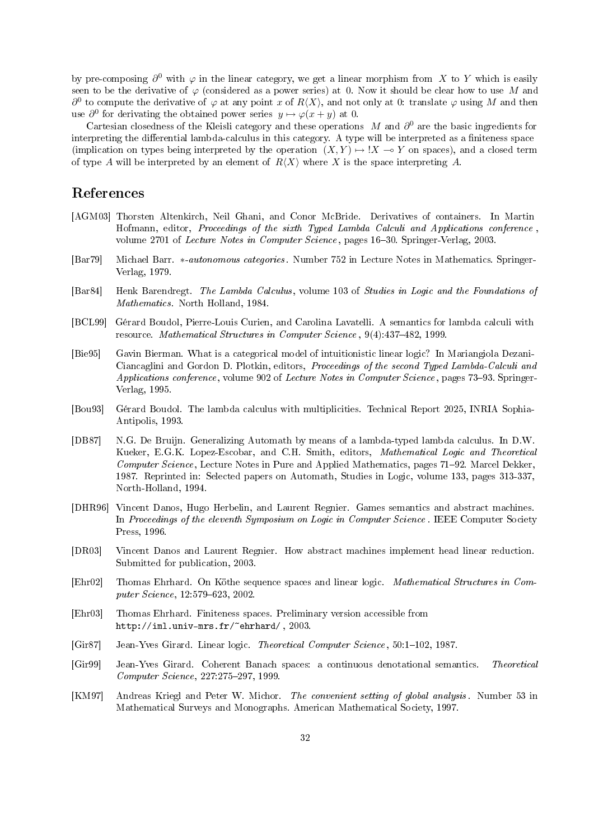by pre-composing  $\partial^0$  with  $\varphi$  in the linear category, we get a linear morphism from X to Y which is easily seen to be the derivative of  $\varphi$  (considered as a power series) at 0. Now it should be clear how to use M and  $\partial^0$  to compute the derivative of  $\varphi$  at any point x of  $R\langle X\rangle$ , and not only at 0: translate  $\varphi$  using M and then use  $\partial^0$  for derivating the obtained power series  $y \mapsto \varphi(x+y)$  at 0.

Cartesian closedness of the Kleisli category and these operations M and  $\partial^0$  are the basic ingredients for interpreting the differential lambda-calculus in this category. A type will be interpreted as a finiteness space (implication on types being interpreted by the operation  $(X, Y) \mapsto \xrightarrow{!} X \rightarrow Y$  on spaces), and a closed term of type A will be interpreted by an element of  $R\langle X\rangle$  where X is the space interpreting A.

### References

- [AGM03] Thorsten Altenkirch, Neil Ghani, and Conor McBride. Derivatives of containers. In Martin Hofmann, editor, Proceedings of the sixth Typed Lambda Calculi and Applications conference , volume 2701 of Lecture Notes in Computer Science, pages 16-30. Springer-Verlag, 2003.
- [Bar79] Michael Barr. ∗-autonomous categories. Number 752 in Lecture Notes in Mathematics. Springer-Verlag, 1979.
- [Bar84] Henk Barendregt. The Lambda Calculus, volume 103 of Studies in Logic and the Foundations of Mathematics. North Holland, 1984.
- [BCL99] Gérard Boudol, Pierre-Louis Curien, and Carolina Lavatelli. A semantics for lambda calculi with resource. Mathematical Structures in Computer Science, 9(4):437-482, 1999.
- [Bie95] Gavin Bierman. What is a categorical model of intuitionistic linear logic? In Mariangiola Dezani-Ciancaglini and Gordon D. Plotkin, editors, Proceedings of the second Typed Lambda-Calculi and Applications conference, volume 902 of Lecture Notes in Computer Science, pages 73–93. Springer-Verlag, 1995.
- [Bou93] Gérard Boudol. The lambda calculus with multiplicities. Technical Report 2025, INRIA Sophia-Antipolis, 1993.
- [DB87] N.G. De Bruijn. Generalizing Automath by means of a lambda-typed lambda calculus. In D.W. Kueker, E.G.K. Lopez-Escobar, and C.H. Smith, editors, Mathematical Logic and Theoretical Computer Science, Lecture Notes in Pure and Applied Mathematics, pages 71–92. Marcel Dekker, 1987. Reprinted in: Selected papers on Automath, Studies in Logic, volume 133, pages 313-337, North-Holland, 1994.
- [DHR96] Vincent Danos, Hugo Herbelin, and Laurent Regnier. Games semantics and abstract machines. In Proceedings of the eleventh Symposium on Logic in Computer Science . IEEE Computer Society Press, 1996.
- [DR03] Vincent Danos and Laurent Regnier. How abstract machines implement head linear reduction. Submitted for publication, 2003.
- [Ehr02] Thomas Ehrhard. On Köthe sequence spaces and linear logic. Mathematical Structures in Com $puter\ Science, 12:579-623, 2002.$
- [Ehr03] Thomas Ehrhard. Finiteness spaces. Preliminary version accessible from http://iml.univ-mrs.fr/~ehrhard/ , 2003.
- [Gir87] Jean-Yves Girard. Linear logic. *Theoretical Computer Science*, 50:1–102, 1987.
- [Gir99] Jean-Yves Girard. Coherent Banach spaces: a continuous denotational semantics. Theoretical Computer Science, 227:275-297, 1999.
- [KM97] Andreas Kriegl and Peter W. Michor. The convenient setting of global analysis. Number 53 in Mathematical Surveys and Monographs. American Mathematical Society, 1997.